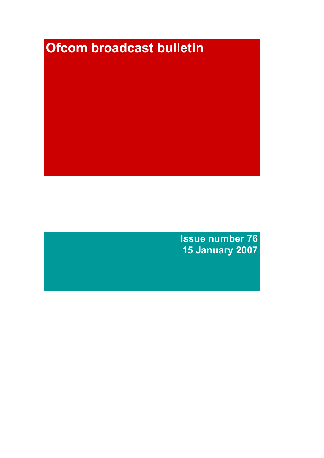# Ofcom broadcast bulletin

Issue number 76 15 January 2007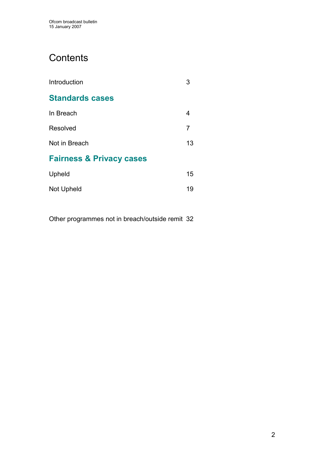# **Contents**

| Introduction                        | 3  |
|-------------------------------------|----|
| <b>Standards cases</b>              |    |
| In Breach                           | 4  |
| Resolved                            | 7  |
| Not in Breach                       | 13 |
| <b>Fairness &amp; Privacy cases</b> |    |
| Upheld                              | 15 |
| Not Upheld                          | 19 |

Other programmes not in breach/outside remit 32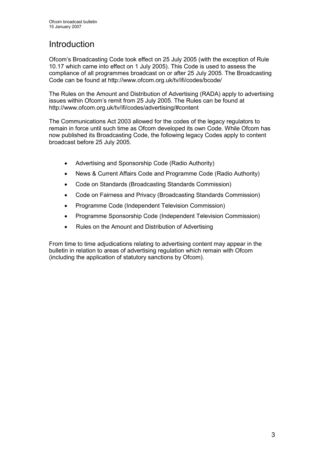# **Introduction**

Ofcom's Broadcasting Code took effect on 25 July 2005 (with the exception of Rule 10.17 which came into effect on 1 July 2005). This Code is used to assess the compliance of all programmes broadcast on or after 25 July 2005. The Broadcasting Code can be found at http://www.ofcom.org.uk/tv/ifi/codes/bcode/

The Rules on the Amount and Distribution of Advertising (RADA) apply to advertising issues within Ofcom's remit from 25 July 2005. The Rules can be found at http://www.ofcom.org.uk/tv/ifi/codes/advertising/#content

The Communications Act 2003 allowed for the codes of the legacy regulators to remain in force until such time as Ofcom developed its own Code. While Ofcom has now published its Broadcasting Code, the following legacy Codes apply to content broadcast before 25 July 2005.

- Advertising and Sponsorship Code (Radio Authority)
- News & Current Affairs Code and Programme Code (Radio Authority)
- Code on Standards (Broadcasting Standards Commission)
- Code on Fairness and Privacy (Broadcasting Standards Commission)
- Programme Code (Independent Television Commission)
- Programme Sponsorship Code (Independent Television Commission)
- Rules on the Amount and Distribution of Advertising

From time to time adjudications relating to advertising content may appear in the bulletin in relation to areas of advertising regulation which remain with Ofcom (including the application of statutory sanctions by Ofcom).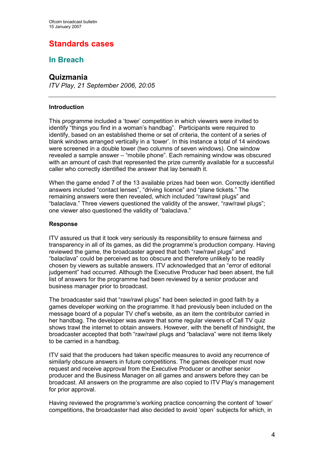# Standards cases

# In Breach

## Quizmania

ITV Play, 21 September 2006, 20:05

#### Introduction

This programme included a 'tower' competition in which viewers were invited to identify "things you find in a woman's handbag". Participants were required to identify, based on an established theme or set of criteria, the content of a series of blank windows arranged vertically in a 'tower'. In this instance a total of 14 windows were screened in a double tower (two columns of seven windows). One window revealed a sample answer – "mobile phone". Each remaining window was obscured with an amount of cash that represented the prize currently available for a successful caller who correctly identified the answer that lay beneath it.

When the game ended 7 of the 13 available prizes had been won. Correctly identified answers included "contact lenses", "driving licence" and "plane tickets." The remaining answers were then revealed, which included "raw/rawl plugs" and "balaclava." Three viewers questioned the validity of the answer, "raw/rawl plugs"; one viewer also questioned the validity of "balaclava."

#### Response

ITV assured us that it took very seriously its responsibility to ensure fairness and transparency in all of its games, as did the programme's production company. Having reviewed the game, the broadcaster agreed that both "raw/rawl plugs" and "balaclava" could be perceived as too obscure and therefore unlikely to be readily chosen by viewers as suitable answers. ITV acknowledged that an "error of editorial judgement" had occurred. Although the Executive Producer had been absent, the full list of answers for the programme had been reviewed by a senior producer and business manager prior to broadcast.

The broadcaster said that "raw/rawl plugs" had been selected in good faith by a games developer working on the programme. It had previously been included on the message board of a popular TV chef's website, as an item the contributor carried in her handbag. The developer was aware that some regular viewers of Call TV quiz shows trawl the internet to obtain answers. However, with the benefit of hindsight, the broadcaster accepted that both "raw/rawl plugs and "balaclava" were not items likely to be carried in a handbag.

ITV said that the producers had taken specific measures to avoid any recurrence of similarly obscure answers in future competitions. The games developer must now request and receive approval from the Executive Producer or another senior producer and the Business Manager on all games and answers before they can be broadcast. All answers on the programme are also copied to ITV Play's management for prior approval.

Having reviewed the programme's working practice concerning the content of 'tower' competitions, the broadcaster had also decided to avoid 'open' subjects for which, in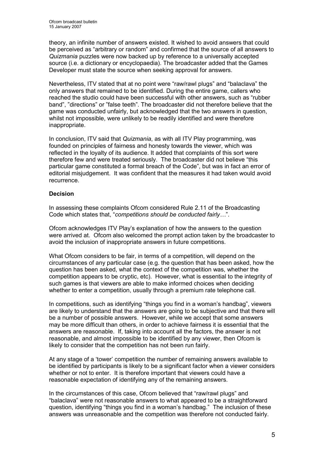theory, an infinite number of answers existed. It wished to avoid answers that could be perceived as "arbitrary or random" and confirmed that the source of all answers to Quizmania puzzles were now backed up by reference to a universally accepted source (i.e. a dictionary or encyclopaedia). The broadcaster added that the Games Developer must state the source when seeking approval for answers.

Nevertheless, ITV stated that at no point were "raw/rawl plugs" and "balaclava" the only answers that remained to be identified. During the entire game, callers who reached the studio could have been successful with other answers, such as "rubber band", "directions" or "false teeth". The broadcaster did not therefore believe that the game was conducted unfairly, but acknowledged that the two answers in question, whilst not impossible, were unlikely to be readily identified and were therefore inappropriate.

In conclusion, ITV said that Quizmania, as with all ITV Play programming, was founded on principles of fairness and honesty towards the viewer, which was reflected in the loyalty of its audience. It added that complaints of this sort were therefore few and were treated seriously. The broadcaster did not believe "this particular game constituted a formal breach of the Code", but was in fact an error of editorial misjudgement. It was confident that the measures it had taken would avoid recurrence.

#### **Decision**

In assessing these complaints Ofcom considered Rule 2.11 of the Broadcasting Code which states that, "competitions should be conducted fairly…".

Ofcom acknowledges ITV Play's explanation of how the answers to the question were arrived at. Ofcom also welcomed the prompt action taken by the broadcaster to avoid the inclusion of inappropriate answers in future competitions.

What Ofcom considers to be fair, in terms of a competition, will depend on the circumstances of any particular case (e.g. the question that has been asked, how the question has been asked, what the context of the competition was, whether the competition appears to be cryptic, etc). However, what is essential to the integrity of such games is that viewers are able to make informed choices when deciding whether to enter a competition, usually through a premium rate telephone call.

In competitions, such as identifying "things you find in a woman's handbag", viewers are likely to understand that the answers are going to be subjective and that there will be a number of possible answers. However, while we accept that some answers may be more difficult than others, in order to achieve fairness it is essential that the answers are reasonable. If, taking into account all the factors, the answer is not reasonable, and almost impossible to be identified by any viewer, then Ofcom is likely to consider that the competition has not been run fairly.

At any stage of a 'tower' competition the number of remaining answers available to be identified by participants is likely to be a significant factor when a viewer considers whether or not to enter. It is therefore important that viewers could have a reasonable expectation of identifying any of the remaining answers.

In the circumstances of this case, Ofcom believed that "raw/rawl plugs" and "balaclava" were not reasonable answers to what appeared to be a straightforward question, identifying "things you find in a woman's handbag." The inclusion of these answers was unreasonable and the competition was therefore not conducted fairly.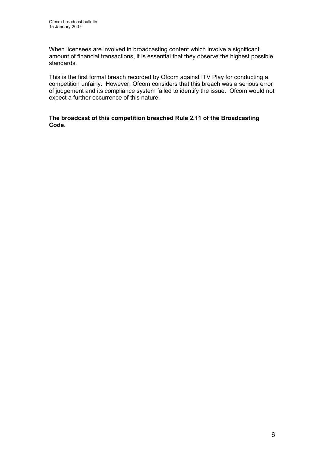When licensees are involved in broadcasting content which involve a significant amount of financial transactions, it is essential that they observe the highest possible standards.

This is the first formal breach recorded by Ofcom against ITV Play for conducting a competition unfairly. However, Ofcom considers that this breach was a serious error of judgement and its compliance system failed to identify the issue. Ofcom would not expect a further occurrence of this nature.

#### The broadcast of this competition breached Rule 2.11 of the Broadcasting Code.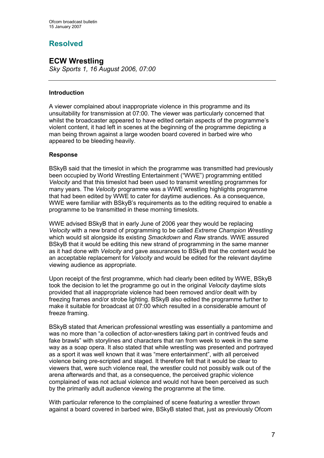# Resolved

# ECW Wrestling

Sky Sports 1, 16 August 2006, 07:00

#### Introduction

A viewer complained about inappropriate violence in this programme and its unsuitability for transmission at 07:00. The viewer was particularly concerned that whilst the broadcaster appeared to have edited certain aspects of the programme's violent content, it had left in scenes at the beginning of the programme depicting a man being thrown against a large wooden board covered in barbed wire who appeared to be bleeding heavily.

#### Response

BSkyB said that the timeslot in which the programme was transmitted had previously been occupied by World Wrestling Entertainment ("WWE") programming entitled Velocity and that this timeslot had been used to transmit wrestling programmes for many years. The Velocity programme was a WWE wrestling highlights programme that had been edited by WWE to cater for daytime audiences. As a consequence, WWE were familiar with BSkyB's requirements as to the editing required to enable a programme to be transmitted in these morning timeslots.

WWE advised BSkyB that in early June of 2006 year they would be replacing Velocity with a new brand of programming to be called Extreme Champion Wrestling which would sit alongside its existing *Smackdown* and Raw strands. WWE assured BSkyB that it would be editing this new strand of programming in the same manner as it had done with Velocity and gave assurances to BSkyB that the content would be an acceptable replacement for Velocity and would be edited for the relevant daytime viewing audience as appropriate.

Upon receipt of the first programme, which had clearly been edited by WWE, BSkyB took the decision to let the programme go out in the original Velocity daytime slots provided that all inappropriate violence had been removed and/or dealt with by freezing frames and/or strobe lighting. BSkyB also edited the programme further to make it suitable for broadcast at 07:00 which resulted in a considerable amount of freeze framing.

BSkyB stated that American professional wrestling was essentially a pantomime and was no more than "a collection of actor-wrestlers taking part in contrived feuds and fake brawls" with storylines and characters that ran from week to week in the same way as a soap opera. It also stated that while wrestling was presented and portrayed as a sport it was well known that it was "mere entertainment", with all perceived violence being pre-scripted and staged. It therefore felt that it would be clear to viewers that, were such violence real, the wrestler could not possibly walk out of the arena afterwards and that, as a consequence, the perceived graphic violence complained of was not actual violence and would not have been perceived as such by the primarily adult audience viewing the programme at the time.

With particular reference to the complained of scene featuring a wrestler thrown against a board covered in barbed wire, BSkyB stated that, just as previously Ofcom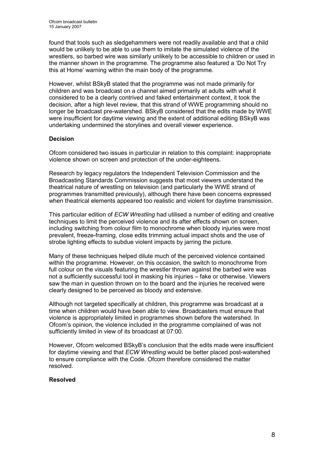found that tools such as sledgehammers were not readily available and that a child would be unlikely to be able to use them to imitate the simulated violence of the wrestlers, so barbed wire was similarly unlikely to be accessible to children or used in the manner shown in the programme. The programme also featured a 'Do Not Try this at Home' warning within the main body of the programme.

However, whilst BSkyB stated that the programme was not made primarily for children and was broadcast on a channel aimed primarily at adults with what it considered to be a clearly contrived and faked entertainment context, it took the decision, after a high level review, that this strand of WWE programming should no longer be broadcast pre-watershed. BSkyB considered that the edits made by WWE were insufficient for daytime viewing and the extent of additional editing BSkyB was undertaking undermined the storylines and overall viewer experience.

#### Decision

Ofcom considered two issues in particular in relation to this complaint: inappropriate violence shown on screen and protection of the under-eighteens.

Research by legacy regulators the Independent Television Commission and the Broadcasting Standards Commission suggests that most viewers understand the theatrical nature of wrestling on television (and particularly the WWE strand of programmes transmitted previously), although there have been concerns expressed when theatrical elements appeared too realistic and violent for daytime transmission.

This particular edition of *ECW Wrestling* had utilised a number of editing and creative techniques to limit the perceived violence and its after effects shown on screen, including switching from colour film to monochrome when bloody injuries were most prevalent, freeze-framing, close edits trimming actual impact shots and the use of strobe lighting effects to subdue violent impacts by jarring the picture.

Many of these techniques helped dilute much of the perceived violence contained within the programme. However, on this occasion, the switch to monochrome from full colour on the visuals featuring the wrestler thrown against the barbed wire was not a sufficiently successful tool in masking his injuries – fake or otherwise. Viewers saw the man in question thrown on to the board and the injuries he received were clearly designed to be perceived as bloody and extensive.

Although not targeted specifically at children, this programme was broadcast at a time when children would have been able to view. Broadcasters must ensure that violence is appropriately limited in programmes shown before the watershed. In Ofcom's opinion, the violence included in the programme complained of was not sufficiently limited in view of its broadcast at 07:00.

However, Ofcom welcomed BSkyB's conclusion that the edits made were insufficient for daytime viewing and that ECW Wrestling would be better placed post-watershed to ensure compliance with the Code. Ofcom therefore considered the matter resolved.

#### Resolved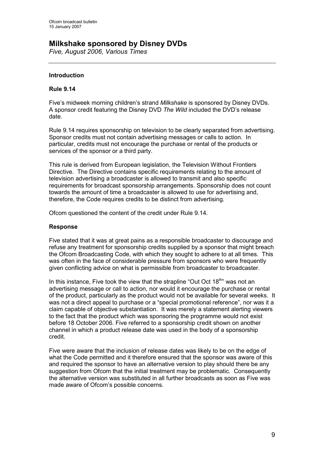## Milkshake sponsored by Disney DVDs

Five, August 2006, Various Times

#### Introduction

#### Rule 9.14

Five's midweek morning children's strand Milkshake is sponsored by Disney DVDs. A sponsor credit featuring the Disney DVD The Wild included the DVD's release date.

Rule 9.14 requires sponsorship on television to be clearly separated from advertising. Sponsor credits must not contain advertising messages or calls to action. In particular, credits must not encourage the purchase or rental of the products or services of the sponsor or a third party.

This rule is derived from European legislation, the Television Without Frontiers Directive. The Directive contains specific requirements relating to the amount of television advertising a broadcaster is allowed to transmit and also specific requirements for broadcast sponsorship arrangements. Sponsorship does not count towards the amount of time a broadcaster is allowed to use for advertising and, therefore, the Code requires credits to be distinct from advertising.

Ofcom questioned the content of the credit under Rule 9.14.

#### Response

Five stated that it was at great pains as a responsible broadcaster to discourage and refuse any treatment for sponsorship credits supplied by a sponsor that might breach the Ofcom Broadcasting Code, with which they sought to adhere to at all times. This was often in the face of considerable pressure from sponsors who were frequently given conflicting advice on what is permissible from broadcaster to broadcaster.

In this instance, Five took the view that the strapline "Out Oct 18<sup>th</sup>" was not an advertising message or call to action, nor would it encourage the purchase or rental of the product, particularly as the product would not be available for several weeks. It was not a direct appeal to purchase or a "special promotional reference", nor was it a claim capable of objective substantiation. It was merely a statement alerting viewers to the fact that the product which was sponsoring the programme would not exist before 18 October 2006. Five referred to a sponsorship credit shown on another channel in which a product release date was used in the body of a sponsorship credit.

Five were aware that the inclusion of release dates was likely to be on the edge of what the Code permitted and it therefore ensured that the sponsor was aware of this and required the sponsor to have an alternative version to play should there be any suggestion from Ofcom that the initial treatment may be problematic. Consequently the alternative version was substituted in all further broadcasts as soon as Five was made aware of Ofcom's possible concerns.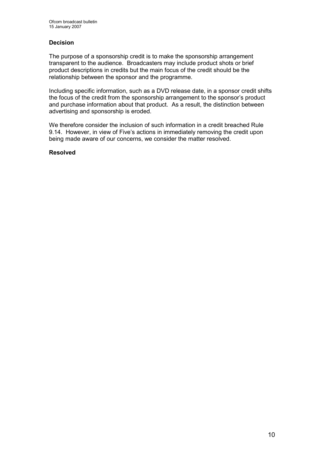#### Decision

The purpose of a sponsorship credit is to make the sponsorship arrangement transparent to the audience. Broadcasters may include product shots or brief product descriptions in credits but the main focus of the credit should be the relationship between the sponsor and the programme.

Including specific information, such as a DVD release date, in a sponsor credit shifts the focus of the credit from the sponsorship arrangement to the sponsor's product and purchase information about that product. As a result, the distinction between advertising and sponsorship is eroded.

We therefore consider the inclusion of such information in a credit breached Rule 9.14. However, in view of Five's actions in immediately removing the credit upon being made aware of our concerns, we consider the matter resolved.

#### Resolved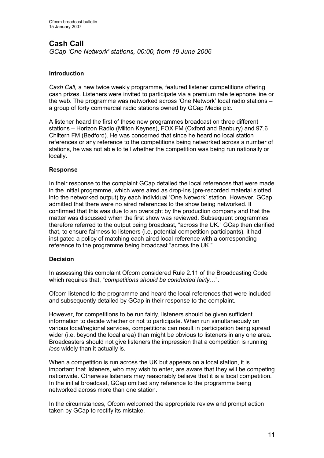#### Introduction

Cash Call, a new twice weekly programme, featured listener competitions offering cash prizes. Listeners were invited to participate via a premium rate telephone line or the web. The programme was networked across 'One Network' local radio stations – a group of forty commercial radio stations owned by GCap Media plc.

A listener heard the first of these new programmes broadcast on three different stations – Horizon Radio (Milton Keynes), FOX FM (Oxford and Banbury) and 97.6 Chiltern FM (Bedford). He was concerned that since he heard no local station references or any reference to the competitions being networked across a number of stations, he was not able to tell whether the competition was being run nationally or locally.

#### Response

In their response to the complaint GCap detailed the local references that were made in the initial programme, which were aired as drop-ins (pre-recorded material slotted into the networked output) by each individual 'One Network' station. However, GCap admitted that there were no aired references to the show being networked. It confirmed that this was due to an oversight by the production company and that the matter was discussed when the first show was reviewed. Subsequent programmes therefore referred to the output being broadcast, "across the UK." GCap then clarified that, to ensure fairness to listeners (i.e. potential competition participants), it had instigated a policy of matching each aired local reference with a corresponding reference to the programme being broadcast "across the UK."

#### Decision

In assessing this complaint Ofcom considered Rule 2.11 of the Broadcasting Code which requires that, "competitions should be conducted fairly...".

Ofcom listened to the programme and heard the local references that were included and subsequently detailed by GCap in their response to the complaint.

However, for competitions to be run fairly, listeners should be given sufficient information to decide whether or not to participate. When run simultaneously on various local/regional services, competitions can result in participation being spread wider (i.e. beyond the local area) than might be obvious to listeners in any one area. Broadcasters should not give listeners the impression that a competition is running less widely than it actually is.

When a competition is run across the UK but appears on a local station, it is important that listeners, who may wish to enter, are aware that they will be competing nationwide. Otherwise listeners may reasonably believe that it is a local competition. In the initial broadcast, GCap omitted any reference to the programme being networked across more than one station.

In the circumstances, Ofcom welcomed the appropriate review and prompt action taken by GCap to rectify its mistake.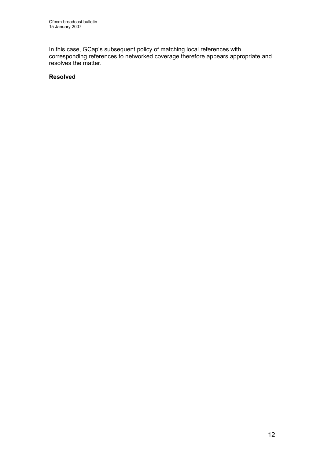In this case, GCap's subsequent policy of matching local references with corresponding references to networked coverage therefore appears appropriate and resolves the matter.

#### Resolved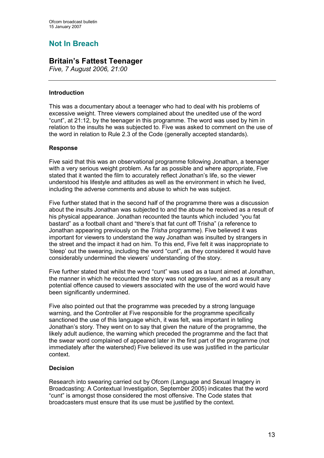# Not In Breach

## Britain's Fattest Teenager

Five, 7 August 2006, 21:00

#### Introduction

This was a documentary about a teenager who had to deal with his problems of excessive weight. Three viewers complained about the unedited use of the word "cunt", at 21:12, by the teenager in this programme. The word was used by him in relation to the insults he was subjected to. Five was asked to comment on the use of the word in relation to Rule 2.3 of the Code (generally accepted standards).

#### Response

Five said that this was an observational programme following Jonathan, a teenager with a very serious weight problem. As far as possible and where appropriate, Five stated that it wanted the film to accurately reflect Jonathan's life, so the viewer understood his lifestyle and attitudes as well as the environment in which he lived, including the adverse comments and abuse to which he was subject.

Five further stated that in the second half of the programme there was a discussion about the insults Jonathan was subjected to and the abuse he received as a result of his physical appearance. Jonathan recounted the taunts which included "you fat bastard" as a football chant and "there's that fat cunt off Trisha" (a reference to Jonathan appearing previously on the Trisha programme). Five believed it was important for viewers to understand the way Jonathan was insulted by strangers in the street and the impact it had on him. To this end, Five felt it was inappropriate to 'bleep' out the swearing, including the word "cunt", as they considered it would have considerably undermined the viewers' understanding of the story.

Five further stated that whilst the word "cunt" was used as a taunt aimed at Jonathan, the manner in which he recounted the story was not aggressive, and as a result any potential offence caused to viewers associated with the use of the word would have been significantly undermined.

Five also pointed out that the programme was preceded by a strong language warning, and the Controller at Five responsible for the programme specifically sanctioned the use of this language which, it was felt, was important in telling Jonathan's story. They went on to say that given the nature of the programme, the likely adult audience, the warning which preceded the programme and the fact that the swear word complained of appeared later in the first part of the programme (not immediately after the watershed) Five believed its use was justified in the particular context.

#### Decision

Research into swearing carried out by Ofcom (Language and Sexual Imagery in Broadcasting: A Contextual Investigation, September 2005) indicates that the word "cunt" is amongst those considered the most offensive. The Code states that broadcasters must ensure that its use must be justified by the context.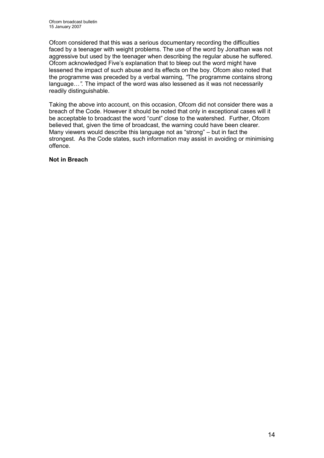Ofcom considered that this was a serious documentary recording the difficulties faced by a teenager with weight problems. The use of the word by Jonathan was not aggressive but used by the teenager when describing the regular abuse he suffered. Ofcom acknowledged Five's explanation that to bleep out the word might have lessened the impact of such abuse and its effects on the boy. Ofcom also noted that the programme was preceded by a verbal warning, "The programme contains strong language…". The impact of the word was also lessened as it was not necessarily readily distinguishable.

Taking the above into account, on this occasion, Ofcom did not consider there was a breach of the Code. However it should be noted that only in exceptional cases will it be acceptable to broadcast the word "cunt" close to the watershed. Further, Ofcom believed that, given the time of broadcast, the warning could have been clearer. Many viewers would describe this language not as "strong" – but in fact the strongest. As the Code states, such information may assist in avoiding or minimising offence.

#### Not in Breach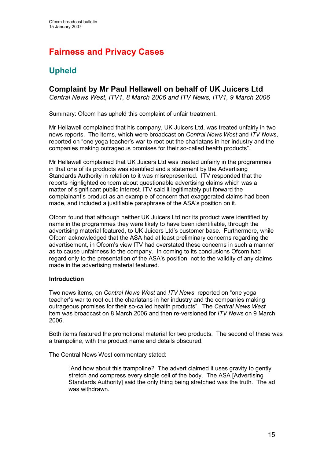# Fairness and Privacy Cases

# Upheld

## Complaint by Mr Paul Hellawell on behalf of UK Juicers Ltd

Central News West, ITV1, 8 March 2006 and ITV News, ITV1, 9 March 2006

Summary: Ofcom has upheld this complaint of unfair treatment.

Mr Hellawell complained that his company, UK Juicers Ltd, was treated unfairly in two news reports. The items, which were broadcast on Central News West and ITV News, reported on "one yoga teacher's war to root out the charlatans in her industry and the companies making outrageous promises for their so-called health products".

Mr Hellawell complained that UK Juicers Ltd was treated unfairly in the programmes in that one of its products was identified and a statement by the Advertising Standards Authority in relation to it was misrepresented. ITV responded that the reports highlighted concern about questionable advertising claims which was a matter of significant public interest. ITV said it legitimately put forward the complainant's product as an example of concern that exaggerated claims had been made, and included a justifiable paraphrase of the ASA's position on it.

Ofcom found that although neither UK Juicers Ltd nor its product were identified by name in the programmes they were likely to have been identifiable, through the advertising material featured, to UK Juicers Ltd's customer base. Furthermore, while Ofcom acknowledged that the ASA had at least preliminary concerns regarding the advertisement, in Ofcom's view ITV had overstated these concerns in such a manner as to cause unfairness to the company. In coming to its conclusions Ofcom had regard only to the presentation of the ASA's position, not to the validity of any claims made in the advertising material featured.

#### Introduction

Two news items, on Central News West and ITV News, reported on "one yoga teacher's war to root out the charlatans in her industry and the companies making outrageous promises for their so-called health products". The Central News West item was broadcast on 8 March 2006 and then re-versioned for ITV News on 9 March 2006.

Both items featured the promotional material for two products. The second of these was a trampoline, with the product name and details obscured.

The Central News West commentary stated:

"And how about this trampoline? The advert claimed it uses gravity to gently stretch and compress every single cell of the body. The ASA [Advertising Standards Authority] said the only thing being stretched was the truth. The ad was withdrawn."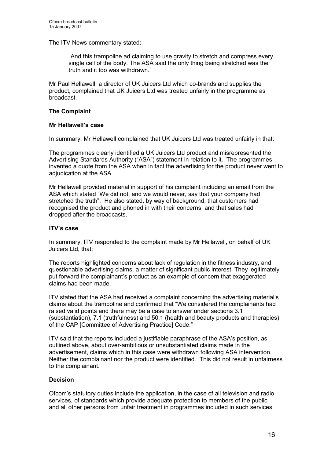The ITV News commentary stated:

"And this trampoline ad claiming to use gravity to stretch and compress every single cell of the body. The ASA said the only thing being stretched was the truth and it too was withdrawn."

Mr Paul Hellawell, a director of UK Juicers Ltd which co-brands and supplies the product, complained that UK Juicers Ltd was treated unfairly in the programme as broadcast.

#### The Complaint

#### Mr Hellawell's case

In summary, Mr Hellawell complained that UK Juicers Ltd was treated unfairly in that:

The programmes clearly identified a UK Juicers Ltd product and misrepresented the Advertising Standards Authority ("ASA") statement in relation to it. The programmes invented a quote from the ASA when in fact the advertising for the product never went to adjudication at the ASA.

Mr Hellawell provided material in support of his complaint including an email from the ASA which stated "We did not, and we would never, say that your company had stretched the truth". He also stated, by way of background, that customers had recognised the product and phoned in with their concerns, and that sales had dropped after the broadcasts.

#### ITV's case

In summary, ITV responded to the complaint made by Mr Hellawell, on behalf of UK Juicers Ltd, that:

The reports highlighted concerns about lack of regulation in the fitness industry, and questionable advertising claims, a matter of significant public interest. They legitimately put forward the complainant's product as an example of concern that exaggerated claims had been made.

ITV stated that the ASA had received a complaint concerning the advertising material's claims about the trampoline and confirmed that "We considered the complainants had raised valid points and there may be a case to answer under sections 3.1 (substantiation), 7.1 (truthfulness) and 50.1 (health and beauty products and therapies) of the CAP [Committee of Advertising Practice] Code."

ITV said that the reports included a justifiable paraphrase of the ASA's position, as outlined above, about over-ambitious or unsubstantiated claims made in the advertisement, claims which in this case were withdrawn following ASA intervention. Neither the complainant nor the product were identified. This did not result in unfairness to the complainant.

#### Decision

Ofcom's statutory duties include the application, in the case of all television and radio services, of standards which provide adequate protection to members of the public and all other persons from unfair treatment in programmes included in such services.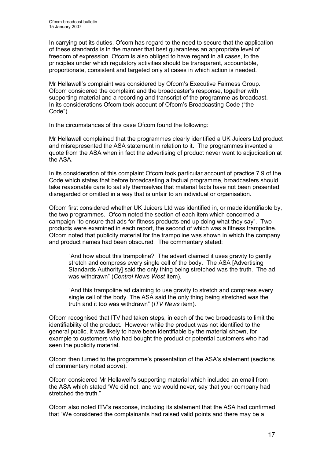In carrying out its duties, Ofcom has regard to the need to secure that the application of these standards is in the manner that best guarantees an appropriate level of freedom of expression. Ofcom is also obliged to have regard in all cases, to the principles under which regulatory activities should be transparent, accountable, proportionate, consistent and targeted only at cases in which action is needed.

Mr Hellawell's complaint was considered by Ofcom's Executive Fairness Group. Ofcom considered the complaint and the broadcaster's response, together with supporting material and a recording and transcript of the programme as broadcast. In its considerations Ofcom took account of Ofcom's Broadcasting Code ("the Code").

In the circumstances of this case Ofcom found the following:

Mr Hellawell complained that the programmes clearly identified a UK Juicers Ltd product and misrepresented the ASA statement in relation to it. The programmes invented a quote from the ASA when in fact the advertising of product never went to adjudication at the ASA.

In its consideration of this complaint Ofcom took particular account of practice 7.9 of the Code which states that before broadcasting a factual programme, broadcasters should take reasonable care to satisfy themselves that material facts have not been presented, disregarded or omitted in a way that is unfair to an individual or organisation.

Ofcom first considered whether UK Juicers Ltd was identified in, or made identifiable by, the two programmes. Ofcom noted the section of each item which concerned a campaign "to ensure that ads for fitness products end up doing what they say". Two products were examined in each report, the second of which was a fitness trampoline. Ofcom noted that publicity material for the trampoline was shown in which the company and product names had been obscured. The commentary stated:

"And how about this trampoline? The advert claimed it uses gravity to gently stretch and compress every single cell of the body. The ASA [Advertising Standards Authority] said the only thing being stretched was the truth. The ad was withdrawn" (Central News West item).

"And this trampoline ad claiming to use gravity to stretch and compress every single cell of the body. The ASA said the only thing being stretched was the truth and it too was withdrawn" (ITV News item).

Ofcom recognised that ITV had taken steps, in each of the two broadcasts to limit the identifiability of the product. However while the product was not identified to the general public, it was likely to have been identifiable by the material shown, for example to customers who had bought the product or potential customers who had seen the publicity material.

Ofcom then turned to the programme's presentation of the ASA's statement (sections of commentary noted above).

Ofcom considered Mr Hellawell's supporting material which included an email from the ASA which stated "We did not, and we would never, say that your company had stretched the truth."

Ofcom also noted ITV's response, including its statement that the ASA had confirmed that "We considered the complainants had raised valid points and there may be a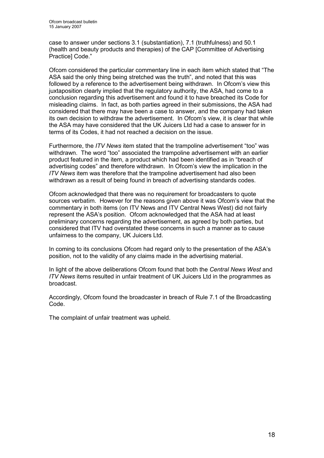case to answer under sections 3.1 (substantiation), 7.1 (truthfulness) and 50.1 (health and beauty products and therapies) of the CAP [Committee of Advertising Practice] Code."

Ofcom considered the particular commentary line in each item which stated that "The ASA said the only thing being stretched was the truth", and noted that this was followed by a reference to the advertisement being withdrawn. In Ofcom's view this juxtaposition clearly implied that the regulatory authority, the ASA, had come to a conclusion regarding this advertisement and found it to have breached its Code for misleading claims. In fact, as both parties agreed in their submissions, the ASA had considered that there may have been a case to answer, and the company had taken its own decision to withdraw the advertisement. In Ofcom's view, it is clear that while the ASA may have considered that the UK Juicers Ltd had a case to answer for in terms of its Codes, it had not reached a decision on the issue.

Furthermore, the ITV News item stated that the trampoline advertisement "too" was withdrawn. The word "too" associated the trampoline advertisement with an earlier product featured in the item, a product which had been identified as in "breach of advertising codes" and therefore withdrawn. In Ofcom's view the implication in the ITV News item was therefore that the trampoline advertisement had also been withdrawn as a result of being found in breach of advertising standards codes.

Ofcom acknowledged that there was no requirement for broadcasters to quote sources verbatim. However for the reasons given above it was Ofcom's view that the commentary in both items (on ITV News and ITV Central News West) did not fairly represent the ASA's position. Ofcom acknowledged that the ASA had at least preliminary concerns regarding the advertisement, as agreed by both parties, but considered that ITV had overstated these concerns in such a manner as to cause unfairness to the company, UK Juicers Ltd.

In coming to its conclusions Ofcom had regard only to the presentation of the ASA's position, not to the validity of any claims made in the advertising material.

In light of the above deliberations Ofcom found that both the Central News West and ITV News items resulted in unfair treatment of UK Juicers Ltd in the programmes as broadcast.

Accordingly, Ofcom found the broadcaster in breach of Rule 7.1 of the Broadcasting Code.

The complaint of unfair treatment was upheld.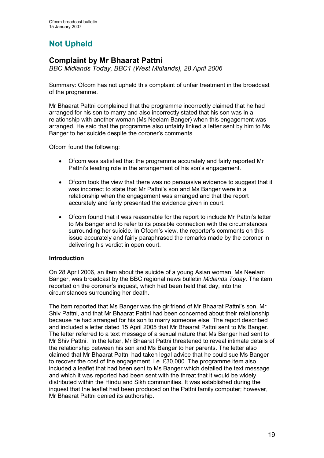# Not Upheld

## Complaint by Mr Bhaarat Pattni

BBC Midlands Today, BBC1 (West Midlands), 28 April 2006

Summary: Ofcom has not upheld this complaint of unfair treatment in the broadcast of the programme.

Mr Bhaarat Pattni complained that the programme incorrectly claimed that he had arranged for his son to marry and also incorrectly stated that his son was in a relationship with another woman (Ms Neelam Banger) when this engagement was arranged. He said that the programme also unfairly linked a letter sent by him to Ms Banger to her suicide despite the coroner's comments.

Ofcom found the following:

- Ofcom was satisfied that the programme accurately and fairly reported Mr Pattni's leading role in the arrangement of his son's engagement.
- Ofcom took the view that there was no persuasive evidence to suggest that it was incorrect to state that Mr Pattni's son and Ms Banger were in a relationship when the engagement was arranged and that the report accurately and fairly presented the evidence given in court.
- Ofcom found that it was reasonable for the report to include Mr Pattni's letter to Ms Banger and to refer to its possible connection with the circumstances surrounding her suicide. In Ofcom's view, the reporter's comments on this issue accurately and fairly paraphrased the remarks made by the coroner in delivering his verdict in open court.

#### Introduction

On 28 April 2006, an item about the suicide of a young Asian woman, Ms Neelam Banger, was broadcast by the BBC regional news bulletin Midlands Today. The item reported on the coroner's inquest, which had been held that day, into the circumstances surrounding her death.

The item reported that Ms Banger was the girlfriend of Mr Bhaarat Pattni's son, Mr Shiv Pattni, and that Mr Bhaarat Pattni had been concerned about their relationship because he had arranged for his son to marry someone else. The report described and included a letter dated 15 April 2005 that Mr Bhaarat Pattni sent to Ms Banger. The letter referred to a text message of a sexual nature that Ms Banger had sent to Mr Shiv Pattni. In the letter, Mr Bhaarat Pattni threatened to reveal intimate details of the relationship between his son and Ms Banger to her parents. The letter also claimed that Mr Bhaarat Pattni had taken legal advice that he could sue Ms Banger to recover the cost of the engagement, i.e. £30,000. The programme item also included a leaflet that had been sent to Ms Banger which detailed the text message and which it was reported had been sent with the threat that it would be widely distributed within the Hindu and Sikh communities. It was established during the inquest that the leaflet had been produced on the Pattni family computer; however, Mr Bhaarat Pattni denied its authorship.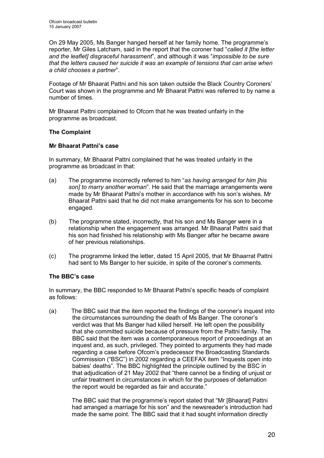On 29 May 2005, Ms Banger hanged herself at her family home. The programme's reporter, Mr Giles Latcham, said in the report that the coroner had "called it [the letter and the leaflet] disgraceful harassment", and although it was "impossible to be sure that the letters caused her suicide it was an example of tensions that can arise when a child chooses a partner".

Footage of Mr Bhaarat Pattni and his son taken outside the Black Country Coroners' Court was shown in the programme and Mr Bhaarat Pattni was referred to by name a number of times.

Mr Bhaarat Pattni complained to Ofcom that he was treated unfairly in the programme as broadcast.

#### The Complaint

#### Mr Bhaarat Pattni's case

In summary, Mr Bhaarat Pattni complained that he was treated unfairly in the programme as broadcast in that:

- (a) The programme incorrectly referred to him "as having arranged for him [his son] to marry another woman". He said that the marriage arrangements were made by Mr Bhaarat Pattni's mother in accordance with his son's wishes. Mr Bhaarat Pattni said that he did not make arrangements for his son to become engaged.
- (b) The programme stated, incorrectly, that his son and Ms Banger were in a relationship when the engagement was arranged. Mr Bhaarat Pattni said that his son had finished his relationship with Ms Banger after he became aware of her previous relationships.
- (c) The programme linked the letter, dated 15 April 2005, that Mr Bhaarrat Pattni had sent to Ms Banger to her suicide, in spite of the coroner's comments.

#### The BBC's case

In summary, the BBC responded to Mr Bhaarat Pattni's specific heads of complaint as follows:

(a) The BBC said that the item reported the findings of the coroner's inquest into the circumstances surrounding the death of Ms Banger. The coroner's verdict was that Ms Banger had killed herself. He left open the possibility that she committed suicide because of pressure from the Pattni family. The BBC said that the item was a contemporaneous report of proceedings at an inquest and, as such, privileged. They pointed to arguments they had made regarding a case before Ofcom's predecessor the Broadcasting Standards Commission ("BSC") in 2002 regarding a CEEFAX item "Inquests open into babies' deaths". The BBC highlighted the principle outlined by the BSC in that adjudication of 21 May 2002 that "there cannot be a finding of unjust or unfair treatment in circumstances in which for the purposes of defamation the report would be regarded as fair and accurate."

> The BBC said that the programme's report stated that "Mr [Bhaarat] Pattni had arranged a marriage for his son" and the newsreader's introduction had made the same point. The BBC said that it had sought information directly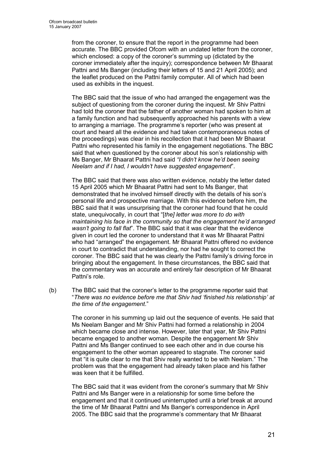from the coroner, to ensure that the report in the programme had been accurate. The BBC provided Ofcom with an undated letter from the coroner, which enclosed: a copy of the coroner's summing up (dictated by the coroner immediately after the inquiry); correspondence between Mr Bhaarat Pattni and Ms Banger (including their letters of 15 and 21 April 2005); and the leaflet produced on the Pattni family computer. All of which had been used as exhibits in the inquest.

The BBC said that the issue of who had arranged the engagement was the subject of questioning from the coroner during the inquest. Mr Shiv Pattni had told the coroner that the father of another woman had spoken to him at a family function and had subsequently approached his parents with a view to arranging a marriage. The programme's reporter (who was present at court and heard all the evidence and had taken contemporaneous notes of the proceedings) was clear in his recollection that it had been Mr Bhaarat Pattni who represented his family in the engagement negotiations. The BBC said that when questioned by the coroner about his son's relationship with Ms Banger, Mr Bhaarat Pattni had said "I didn't know he'd been seeing Neelam and if I had, I wouldn't have suggested engagement".

The BBC said that there was also written evidence, notably the letter dated 15 April 2005 which Mr Bhaarat Pattni had sent to Ms Banger, that demonstrated that he involved himself directly with the details of his son's personal life and prospective marriage. With this evidence before him, the BBC said that it was unsurprising that the coroner had found that he could state, unequivocally, in court that "[the] letter was more to do with maintaining his face in the community so that the engagement he'd arranged wasn't going to fall flat". The BBC said that it was clear that the evidence given in court led the coroner to understand that it was Mr Bhaarat Pattni who had "arranged" the engagement. Mr Bhaarat Pattni offered no evidence in court to contradict that understanding, nor had he sought to correct the coroner. The BBC said that he was clearly the Pattni family's driving force in bringing about the engagement. In these circumstances, the BBC said that the commentary was an accurate and entirely fair description of Mr Bhaarat Pattni's role.

(b) The BBC said that the coroner's letter to the programme reporter said that "There was no evidence before me that Shiv had 'finished his relationship' at the time of the engagement."

> The coroner in his summing up laid out the sequence of events. He said that Ms Neelam Banger and Mr Shiv Pattni had formed a relationship in 2004 which became close and intense. However, later that year, Mr Shiv Pattni became engaged to another woman. Despite the engagement Mr Shiv Pattni and Ms Banger continued to see each other and in due course his engagement to the other woman appeared to stagnate. The coroner said that "it is quite clear to me that Shiv really wanted to be with Neelam." The problem was that the engagement had already taken place and his father was keen that it be fulfilled.

The BBC said that it was evident from the coroner's summary that Mr Shiv Pattni and Ms Banger were in a relationship for some time before the engagement and that it continued uninterrupted until a brief break at around the time of Mr Bhaarat Pattni and Ms Banger's correspondence in April 2005. The BBC said that the programme's commentary that Mr Bhaarat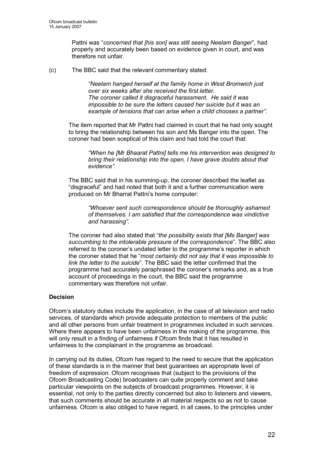Pattni was "concerned that [his son] was still seeing Neelam Banger", had properly and accurately been based on evidence given in court, and was therefore not unfair.

(c) The BBC said that the relevant commentary stated:

"Neelam hanged herself at the family home in West Bromwich just over six weeks after she received the first letter. The coroner called it disgraceful harassment. He said it was impossible to be sure the letters caused her suicide but it was an example of tensions that can arise when a child chooses a partner".

The item reported that Mr Pattni had claimed in court that he had only sought to bring the relationship between his son and Ms Banger into the open. The coroner had been sceptical of this claim and had told the court that:

"When he [Mr Bhaarat Pattni] tells me his intervention was designed to bring their relationship into the open, I have grave doubts about that evidence".

The BBC said that in his summing-up, the coroner described the leaflet as "disgraceful" and had noted that both it and a further communication were produced on Mr Bharrat Pattni's home computer:

> "Whoever sent such correspondence should be thoroughly ashamed of themselves. I am satisfied that the correspondence was vindictive and harassing".

The coroner had also stated that "the possibility exists that [Ms Banger] was succumbing to the intolerable pressure of the correspondence". The BBC also referred to the coroner's undated letter to the programme's reporter in which the coroner stated that he "most certainly did not say that it was impossible to link the letter to the suicide". The BBC said the letter confirmed that the programme had accurately paraphrased the coroner's remarks and, as a true account of proceedings in the court, the BBC said the programme commentary was therefore not unfair.

#### Decision

Ofcom's statutory duties include the application, in the case of all television and radio services, of standards which provide adequate protection to members of the public and all other persons from unfair treatment in programmes included in such services. Where there appears to have been unfairness in the making of the programme, this will only result in a finding of unfairness if Ofcom finds that it has resulted in unfairness to the complainant in the programme as broadcast.

In carrying out its duties, Ofcom has regard to the need to secure that the application of these standards is in the manner that best guarantees an appropriate level of freedom of expression. Ofcom recognises that (subject to the provisions of the Ofcom Broadcasting Code) broadcasters can quite properly comment and take particular viewpoints on the subjects of broadcast programmes. However, it is essential, not only to the parties directly concerned but also to listeners and viewers, that such comments should be accurate in all material respects so as not to cause unfairness. Ofcom is also obliged to have regard, in all cases, to the principles under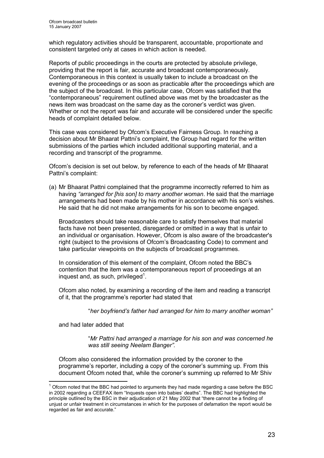which regulatory activities should be transparent, accountable, proportionate and consistent targeted only at cases in which action is needed.

Reports of public proceedings in the courts are protected by absolute privilege, providing that the report is fair, accurate and broadcast contemporaneously. Contemporaneous in this context is usually taken to include a broadcast on the evening of the proceedings or as soon as practicable after the proceedings which are the subject of the broadcast. In this particular case, Ofcom was satisfied that the "contemporaneous" requirement outlined above was met by the broadcaster as the news item was broadcast on the same day as the coroner's verdict was given. Whether or not the report was fair and accurate will be considered under the specific heads of complaint detailed below.

This case was considered by Ofcom's Executive Fairness Group. In reaching a decision about Mr Bhaarat Pattni's complaint, the Group had regard for the written submissions of the parties which included additional supporting material, and a recording and transcript of the programme.

Ofcom's decision is set out below, by reference to each of the heads of Mr Bhaarat Pattni's complaint:

(a) Mr Bhaarat Pattni complained that the programme incorrectly referred to him as having "arranged for [his son] to marry another woman. He said that the marriage arrangements had been made by his mother in accordance with his son's wishes. He said that he did not make arrangements for his son to become engaged.

Broadcasters should take reasonable care to satisfy themselves that material facts have not been presented, disregarded or omitted in a way that is unfair to an individual or organisation. However, Ofcom is also aware of the broadcaster's right (subject to the provisions of Ofcom's Broadcasting Code) to comment and take particular viewpoints on the subjects of broadcast programmes.

In consideration of this element of the complaint, Ofcom noted the BBC's contention that the item was a contemporaneous report of proceedings at an inquest and, as such, privileged $^1$ .

 Ofcom also noted, by examining a recording of the item and reading a transcript of it, that the programme's reporter had stated that

"her boyfriend's father had arranged for him to marry another woman"

and had later added that

 $\overline{1}$ 

"Mr Pattni had arranged a marriage for his son and was concerned he was still seeing Neelam Banger".

 Ofcom also considered the information provided by the coroner to the programme's reporter, including a copy of the coroner's summing up. From this document Ofcom noted that, while the coroner's summing up referred to Mr Shiv

 $1$  Ofcom noted that the BBC had pointed to arguments they had made regarding a case before the BSC in 2002 regarding a CEEFAX item "Inquests open into babies' deaths". The BBC had highlighted the principle outlined by the BSC in their adjudication of 21 May 2002 that "there cannot be a finding of unjust or unfair treatment in circumstances in which for the purposes of defamation the report would be regarded as fair and accurate."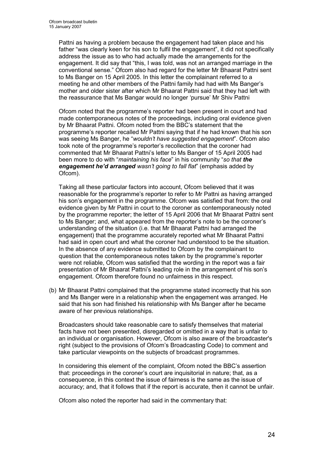Pattni as having a problem because the engagement had taken place and his father "was clearly keen for his son to fulfil the engagement", it did not specifically address the issue as to who had actually made the arrangements for the engagement. It did say that "this, I was told, was not an arranged marriage in the conventional sense." Ofcom also had regard for the letter Mr Bhaarat Pattni sent to Ms Banger on 15 April 2005. In this letter the complainant referred to a meeting he and other members of the Pattni family had had with Ms Banger's mother and older sister after which Mr Bhaarat Pattni said that they had left with the reassurance that Ms Bangar would no longer 'pursue' Mr Shiv Pattni

 Ofcom noted that the programme's reporter had been present in court and had made contemporaneous notes of the proceedings, including oral evidence given by Mr Bhaarat Pattni. Ofcom noted from the BBC's statement that the programme's reporter recalled Mr Pattni saying that if he had known that his son was seeing Ms Banger, he "wouldn't have suggested engagement". Ofcom also took note of the programme's reporter's recollection that the coroner had commented that Mr Bhaarat Pattni's letter to Ms Banger of 15 April 2005 had been more to do with "*maintaining his face*" in his community "so that the engagement he'd arranged wasn't going to fall flat" (emphasis added by Ofcom).

 Taking all these particular factors into account, Ofcom believed that it was reasonable for the programme's reporter to refer to Mr Pattni as having arranged his son's engagement in the programme. Ofcom was satisfied that from: the oral evidence given by Mr Pattni in court to the coroner as contemporaneously noted by the programme reporter; the letter of 15 April 2006 that Mr Bhaarat Pattni sent to Ms Banger; and, what appeared from the reporter's note to be the coroner's understanding of the situation (i.e. that Mr Bhaarat Pattni had arranged the engagement) that the programme accurately reported what Mr Bhaarat Pattni had said in open court and what the coroner had understood to be the situation. In the absence of any evidence submitted to Ofcom by the complainant to question that the contemporaneous notes taken by the programme's reporter were not reliable, Ofcom was satisfied that the wording in the report was a fair presentation of Mr Bhaarat Pattni's leading role in the arrangement of his son's engagement. Ofcom therefore found no unfairness in this respect.

(b) Mr Bhaarat Pattni complained that the programme stated incorrectly that his son and Ms Banger were in a relationship when the engagement was arranged. He said that his son had finished his relationship with Ms Banger after he became aware of her previous relationships.

Broadcasters should take reasonable care to satisfy themselves that material facts have not been presented, disregarded or omitted in a way that is unfair to an individual or organisation. However, Ofcom is also aware of the broadcaster's right (subject to the provisions of Ofcom's Broadcasting Code) to comment and take particular viewpoints on the subjects of broadcast programmes.

In considering this element of the complaint, Ofcom noted the BBC's assertion that: proceedings in the coroner's court are inquisitorial in nature; that, as a consequence, in this context the issue of fairness is the same as the issue of accuracy; and, that it follows that if the report is accurate, then it cannot be unfair.

Ofcom also noted the reporter had said in the commentary that: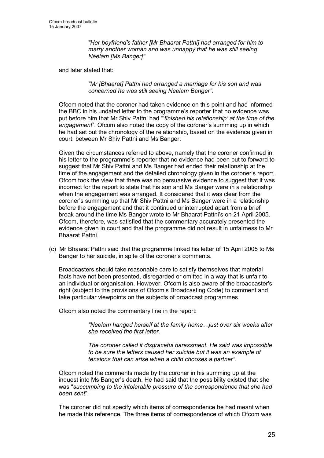"Her boyfriend's father [Mr Bhaarat Pattni] had arranged for him to marry another woman and was unhappy that he was still seeing Neelam [Ms Banger]"

and later stated that:

"Mr [Bhaarat] Pattni had arranged a marriage for his son and was concerned he was still seeing Neelam Banger".

Ofcom noted that the coroner had taken evidence on this point and had informed the BBC in his undated letter to the programme's reporter that no evidence was put before him that Mr Shiv Pattni had "finished his relationship' at the time of the engagement". Ofcom also noted the copy of the coroner's summing up in which he had set out the chronology of the relationship, based on the evidence given in court, between Mr Shiv Pattni and Ms Banger.

Given the circumstances referred to above, namely that the coroner confirmed in his letter to the programme's reporter that no evidence had been put to forward to suggest that Mr Shiv Pattni and Ms Banger had ended their relationship at the time of the engagement and the detailed chronology given in the coroner's report, Ofcom took the view that there was no persuasive evidence to suggest that it was incorrect for the report to state that his son and Ms Banger were in a relationship when the engagement was arranged. It considered that it was clear from the coroner's summing up that Mr Shiv Pattni and Ms Banger were in a relationship before the engagement and that it continued uninterrupted apart from a brief break around the time Ms Banger wrote to Mr Bhaarat Pattni's on 21 April 2005. Ofcom, therefore, was satisfied that the commentary accurately presented the evidence given in court and that the programme did not result in unfairness to Mr Bhaarat Pattni.

(c) Mr Bhaarat Pattni said that the programme linked his letter of 15 April 2005 to Ms Banger to her suicide, in spite of the coroner's comments.

 Broadcasters should take reasonable care to satisfy themselves that material facts have not been presented, disregarded or omitted in a way that is unfair to an individual or organisation. However, Ofcom is also aware of the broadcaster's right (subject to the provisions of Ofcom's Broadcasting Code) to comment and take particular viewpoints on the subjects of broadcast programmes.

Ofcom also noted the commentary line in the report:

"Neelam hanged herself at the family home…just over six weeks after she received the first letter.

The coroner called it disgraceful harassment. He said was impossible to be sure the letters caused her suicide but it was an example of tensions that can arise when a child chooses a partner".

Ofcom noted the comments made by the coroner in his summing up at the inquest into Ms Banger's death. He had said that the possibility existed that she was "succumbing to the intolerable pressure of the correspondence that she had been sent".

The coroner did not specify which items of correspondence he had meant when he made this reference. The three items of correspondence of which Ofcom was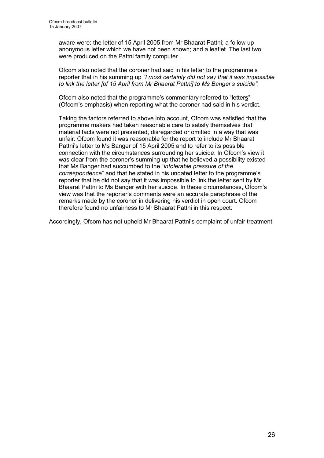aware were: the letter of 15 April 2005 from Mr Bhaarat Pattni; a follow up anonymous letter which we have not been shown; and a leaflet. The last two were produced on the Pattni family computer.

Ofcom also noted that the coroner had said in his letter to the programme's reporter that in his summing up "I most certainly did not say that it was impossible to link the letter [of 15 April from Mr Bhaarat Pattni] to Ms Banger's suicide".

Ofcom also noted that the programme's commentary referred to "letters" (Ofcom's emphasis) when reporting what the coroner had said in his verdict.

Taking the factors referred to above into account, Ofcom was satisfied that the programme makers had taken reasonable care to satisfy themselves that material facts were not presented, disregarded or omitted in a way that was unfair. Ofcom found it was reasonable for the report to include Mr Bhaarat Pattni's letter to Ms Banger of 15 April 2005 and to refer to its possible connection with the circumstances surrounding her suicide. In Ofcom's view it was clear from the coroner's summing up that he believed a possibility existed that Ms Banger had succumbed to the "intolerable pressure of the correspondence" and that he stated in his undated letter to the programme's reporter that he did not say that it was impossible to link the letter sent by Mr Bhaarat Pattni to Ms Banger with her suicide. In these circumstances, Ofcom's view was that the reporter's comments were an accurate paraphrase of the remarks made by the coroner in delivering his verdict in open court. Ofcom therefore found no unfairness to Mr Bhaarat Pattni in this respect.

Accordingly, Ofcom has not upheld Mr Bhaarat Pattni's complaint of unfair treatment.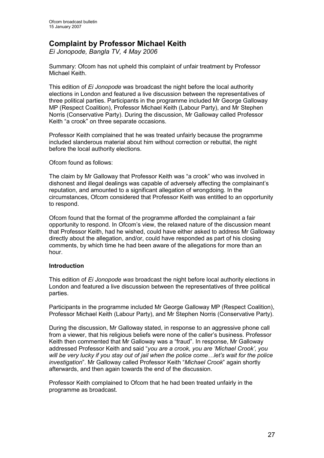# Complaint by Professor Michael Keith

Ei Jonopode, Bangla TV, 4 May 2006

Summary: Ofcom has not upheld this complaint of unfair treatment by Professor Michael Keith.

This edition of Ei Jonopode was broadcast the night before the local authority elections in London and featured a live discussion between the representatives of three political parties. Participants in the programme included Mr George Galloway MP (Respect Coalition), Professor Michael Keith (Labour Party), and Mr Stephen Norris (Conservative Party). During the discussion, Mr Galloway called Professor Keith "a crook" on three separate occasions.

Professor Keith complained that he was treated unfairly because the programme included slanderous material about him without correction or rebuttal, the night before the local authority elections.

Ofcom found as follows:

The claim by Mr Galloway that Professor Keith was "a crook" who was involved in dishonest and illegal dealings was capable of adversely affecting the complainant's reputation, and amounted to a significant allegation of wrongdoing. In the circumstances, Ofcom considered that Professor Keith was entitled to an opportunity to respond.

Ofcom found that the format of the programme afforded the complainant a fair opportunity to respond. In Ofcom's view, the relaxed nature of the discussion meant that Professor Keith, had he wished, could have either asked to address Mr Galloway directly about the allegation, and/or, could have responded as part of his closing comments, by which time he had been aware of the allegations for more than an hour.

#### Introduction

This edition of Ei Jonopode was broadcast the night before local authority elections in London and featured a live discussion between the representatives of three political parties.

Participants in the programme included Mr George Galloway MP (Respect Coalition), Professor Michael Keith (Labour Party), and Mr Stephen Norris (Conservative Party).

During the discussion, Mr Galloway stated, in response to an aggressive phone call from a viewer, that his religious beliefs were none of the caller's business. Professor Keith then commented that Mr Galloway was a "fraud". In response, Mr Galloway addressed Professor Keith and said "you are a crook, you are 'Michael Crook', you will be very lucky if you stay out of jail when the police come... let's wait for the police investigation". Mr Galloway called Professor Keith "Michael Crook" again shortly afterwards, and then again towards the end of the discussion.

Professor Keith complained to Ofcom that he had been treated unfairly in the programme as broadcast.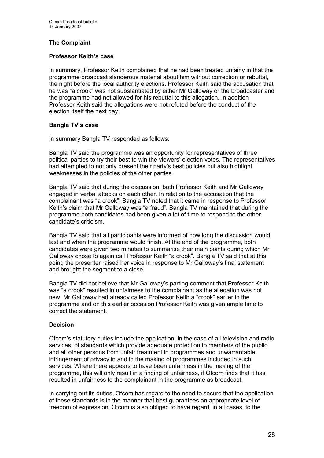#### The Complaint

#### Professor Keith's case

In summary, Professor Keith complained that he had been treated unfairly in that the programme broadcast slanderous material about him without correction or rebuttal, the night before the local authority elections. Professor Keith said the accusation that he was "a crook" was not substantiated by either Mr Galloway or the broadcaster and the programme had not allowed for his rebuttal to this allegation. In addition Professor Keith said the allegations were not refuted before the conduct of the election itself the next day.

#### Bangla TV's case

In summary Bangla TV responded as follows:

Bangla TV said the programme was an opportunity for representatives of three political parties to try their best to win the viewers' election votes. The representatives had attempted to not only present their party's best policies but also highlight weaknesses in the policies of the other parties.

Bangla TV said that during the discussion, both Professor Keith and Mr Galloway engaged in verbal attacks on each other. In relation to the accusation that the complainant was "a crook", Bangla TV noted that it came in response to Professor Keith's claim that Mr Galloway was "a fraud". Bangla TV maintained that during the programme both candidates had been given a lot of time to respond to the other candidate's criticism.

Bangla TV said that all participants were informed of how long the discussion would last and when the programme would finish. At the end of the programme, both candidates were given two minutes to summarise their main points during which Mr Galloway chose to again call Professor Keith "a crook". Bangla TV said that at this point, the presenter raised her voice in response to Mr Galloway's final statement and brought the segment to a close.

Bangla TV did not believe that Mr Galloway's parting comment that Professor Keith was "a crook" resulted in unfairness to the complainant as the allegation was not new. Mr Galloway had already called Professor Keith a "crook" earlier in the programme and on this earlier occasion Professor Keith was given ample time to correct the statement.

#### Decision

Ofcom's statutory duties include the application, in the case of all television and radio services, of standards which provide adequate protection to members of the public and all other persons from unfair treatment in programmes and unwarrantable infringement of privacy in and in the making of programmes included in such services. Where there appears to have been unfairness in the making of the programme, this will only result in a finding of unfairness, if Ofcom finds that it has resulted in unfairness to the complainant in the programme as broadcast.

In carrying out its duties, Ofcom has regard to the need to secure that the application of these standards is in the manner that best guarantees an appropriate level of freedom of expression. Ofcom is also obliged to have regard, in all cases, to the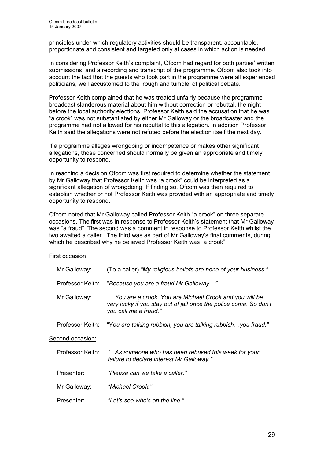principles under which regulatory activities should be transparent, accountable, proportionate and consistent and targeted only at cases in which action is needed.

In considering Professor Keith's complaint, Ofcom had regard for both parties' written submissions, and a recording and transcript of the programme. Ofcom also took into account the fact that the guests who took part in the programme were all experienced politicians, well accustomed to the 'rough and tumble' of political debate.

Professor Keith complained that he was treated unfairly because the programme broadcast slanderous material about him without correction or rebuttal, the night before the local authority elections. Professor Keith said the accusation that he was "a crook" was not substantiated by either Mr Galloway or the broadcaster and the programme had not allowed for his rebuttal to this allegation. In addition Professor Keith said the allegations were not refuted before the election itself the next day.

If a programme alleges wrongdoing or incompetence or makes other significant allegations, those concerned should normally be given an appropriate and timely opportunity to respond.

In reaching a decision Ofcom was first required to determine whether the statement by Mr Galloway that Professor Keith was "a crook" could be interpreted as a significant allegation of wrongdoing. If finding so, Ofcom was then required to establish whether or not Professor Keith was provided with an appropriate and timely opportunity to respond.

Ofcom noted that Mr Galloway called Professor Keith "a crook" on three separate occasions. The first was in response to Professor Keith's statement that Mr Galloway was "a fraud". The second was a comment in response to Professor Keith whilst the two awaited a caller. The third was as part of Mr Galloway's final comments, during which he described why he believed Professor Keith was "a crook":

#### First occasion:

| Mr Galloway:     | (To a caller) "My religious beliefs are none of your business."                                                                                       |
|------------------|-------------------------------------------------------------------------------------------------------------------------------------------------------|
| Professor Keith: | "Because you are a fraud Mr Galloway"                                                                                                                 |
| Mr Galloway:     | "You are a crook. You are Michael Crook and you will be<br>very lucky if you stay out of jail once the police come. So don't<br>you call me a fraud." |
| Professor Keith: | "You are talking rubbish, you are talking rubbishyou fraud."                                                                                          |
| Second occasion: |                                                                                                                                                       |
| Professor Keith: | "As someone who has been rebuked this week for your"<br>failure to declare interest Mr Galloway."                                                     |
| Presenter:       | "Please can we take a caller."                                                                                                                        |
| Mr Galloway:     | "Michael Crook."                                                                                                                                      |
| Presenter:       | "Let's see who's on the line."                                                                                                                        |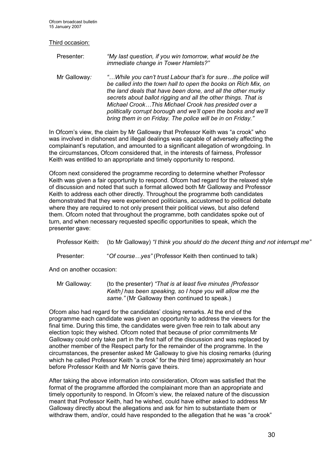Third occasion:

Presenter: "My last question, if you win tomorrow, what would be the immediate change in Tower Hamlets?"

Mr Galloway: "…While you can't trust Labour that's for sure…the police will be called into the town hall to open the books on Rich Mix, on the land deals that have been done, and all the other murky secrets about ballot rigging and all the other things. That is Michael Crook…This Michael Crook has presided over a politically corrupt borough and we'll open the books and we'll bring them in on Friday. The police will be in on Friday."

In Ofcom's view, the claim by Mr Galloway that Professor Keith was "a crook" who was involved in dishonest and illegal dealings was capable of adversely affecting the complainant's reputation, and amounted to a significant allegation of wrongdoing. In the circumstances, Ofcom considered that, in the interests of fairness, Professor Keith was entitled to an appropriate and timely opportunity to respond.

Ofcom next considered the programme recording to determine whether Professor Keith was given a fair opportunity to respond. Ofcom had regard for the relaxed style of discussion and noted that such a format allowed both Mr Galloway and Professor Keith to address each other directly. Throughout the programme both candidates demonstrated that they were experienced politicians, accustomed to political debate where they are required to not only present their political views, but also defend them. Ofcom noted that throughout the programme, both candidates spoke out of turn, and when necessary requested specific opportunities to speak, which the presenter gave:

|            | Professor Keith: (to Mr Galloway) "I think you should do the decent thing and not interrupt me" |
|------------|-------------------------------------------------------------------------------------------------|
| Presenter: | "Of courseyes" (Professor Keith then continued to talk)                                         |

And on another occasion:

Mr Galloway: (to the presenter) "That is at least five minutes / Professor Keith *I* has been speaking, so I hope you will allow me the same." (Mr Galloway then continued to speak.)

Ofcom also had regard for the candidates' closing remarks. At the end of the programme each candidate was given an opportunity to address the viewers for the final time. During this time, the candidates were given free rein to talk about any election topic they wished. Ofcom noted that because of prior commitments Mr Galloway could only take part in the first half of the discussion and was replaced by another member of the Respect party for the remainder of the programme. In the circumstances, the presenter asked Mr Galloway to give his closing remarks (during which he called Professor Keith "a crook" for the third time) approximately an hour before Professor Keith and Mr Norris gave theirs.

After taking the above information into consideration, Ofcom was satisfied that the format of the programme afforded the complainant more than an appropriate and timely opportunity to respond. In Ofcom's view, the relaxed nature of the discussion meant that Professor Keith, had he wished, could have either asked to address Mr Galloway directly about the allegations and ask for him to substantiate them or withdraw them, and/or, could have responded to the allegation that he was "a crook"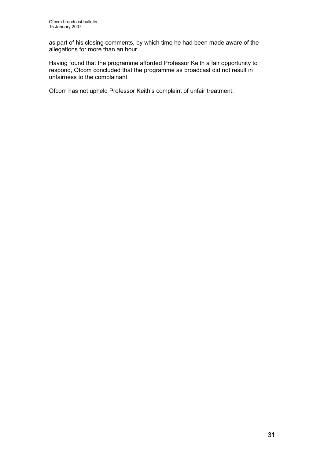as part of his closing comments, by which time he had been made aware of the allegations for more than an hour.

Having found that the programme afforded Professor Keith a fair opportunity to respond, Ofcom concluded that the programme as broadcast did not result in unfairness to the complainant.

Ofcom has not upheld Professor Keith's complaint of unfair treatment.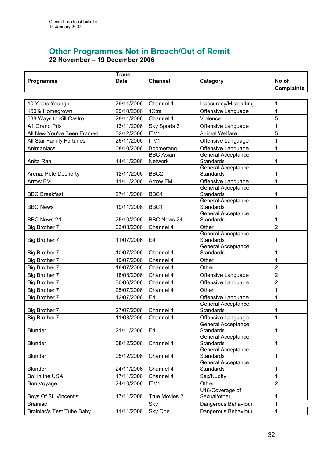$\overline{\phantom{a}}$ 

# Other Programmes Not in Breach/Out of Remit 22 November – 19 December 2006

|                                  | Trans                |                    |                                               |                   |
|----------------------------------|----------------------|--------------------|-----------------------------------------------|-------------------|
| Programme                        | <b>Date</b>          | <b>Channel</b>     | Category                                      | No of             |
|                                  |                      |                    |                                               | <b>Complaints</b> |
|                                  |                      |                    |                                               |                   |
| 10 Years Younger                 | 29/11/2006           | Channel 4          | Inaccuracy/Misleading                         | 1                 |
| 100% Homegrown                   | 29/10/2006           | 1Xtra              | Offensive Language                            | 1                 |
| 638 Ways to Kill Castro          | 28/11/2006           | Channel 4          | Violence                                      | 5                 |
| A1 Grand Prix                    | 13/11/2006           | Sky Sports 3       | Offensive Language                            | 1                 |
| All New You've Been Framed       | 02/12/2006           | ITV1               | <b>Animal Welfare</b>                         | 5                 |
| All Star Family Fortunes         | 26/11/2006           | ITV1               | Offensive Language                            | 1                 |
| Animaniacs                       | 08/10/2006           | Boomerang          | Offensive Language                            | 1                 |
|                                  |                      | <b>BBC Asian</b>   | <b>General Acceptance</b>                     |                   |
| Anita Rani                       | 14/11/2006           | <b>Network</b>     | <b>Standards</b>                              | 1                 |
|                                  |                      |                    | General Acceptance                            |                   |
| Arena: Pete Docherty             | 12/11/2006           | BBC <sub>2</sub>   | <b>Standards</b>                              | 1                 |
| Arrow FM                         | 11/11/2006           | Arrow FM           | Offensive Language                            | 1                 |
|                                  |                      | BBC1               | <b>General Acceptance</b><br><b>Standards</b> |                   |
| <b>BBC Breakfast</b>             | 27/11/2006           |                    | General Acceptance                            |                   |
| <b>BBC News</b>                  | 19/11/2006           | BBC1               | <b>Standards</b>                              | 1                 |
|                                  |                      |                    | General Acceptance                            |                   |
| <b>BBC News 24</b>               | 25/10/2006           | <b>BBC News 24</b> | <b>Standards</b>                              | 1                 |
| Big Brother 7                    | 03/08/2006           | Channel 4          | Other                                         | $\overline{2}$    |
|                                  |                      |                    | General Acceptance                            |                   |
| <b>Big Brother 7</b>             | 11/07/2006           | E4                 | <b>Standards</b>                              |                   |
|                                  |                      |                    | General Acceptance                            |                   |
| <b>Big Brother 7</b>             | 10/07/2006           | Channel 4          | <b>Standards</b>                              | 1                 |
| Big Brother 7                    | 19/07/2006           | Channel 4          | Other                                         | 1                 |
| Big Brother 7                    | 18/07/2006           | Channel 4          | Other                                         | 2                 |
| <b>Big Brother 7</b>             | 18/08/2006           | Channel 4          | Offensive Language                            | 2                 |
| Big Brother 7                    | 30/06/2006           | Channel 4          | Offensive Language                            | 2                 |
| Big Brother 7                    | 25/07/2006           | Channel 4          | Other                                         | 1                 |
| Big Brother 7                    | 12/07/2006           | E <sub>4</sub>     | Offensive Language                            | 1                 |
|                                  |                      |                    | <b>General Acceptance</b>                     |                   |
| <b>Big Brother 7</b>             | 27/07/2006           | Channel 4          | <b>Standards</b>                              | 1                 |
| <b>Big Brother 7</b>             | 11/08/2006 Channel 4 |                    | Offensive Language                            | 1                 |
| <b>Blunder</b>                   | 21/11/2006           | E <sub>4</sub>     | <b>General Acceptance</b><br>Standards        | 1                 |
|                                  |                      |                    | General Acceptance                            |                   |
| Blunder                          | 08/12/2006           | Channel 4          | Standards                                     | 1                 |
|                                  |                      |                    | <b>General Acceptance</b>                     |                   |
| Blunder                          | 05/12/2006           | Channel 4          | Standards                                     | 1                 |
|                                  |                      |                    | <b>General Acceptance</b>                     |                   |
| Blunder                          | 24/11/2006           | Channel 4          | Standards                                     | 1                 |
| Bo! in the USA                   | 17/11/2006           | Channel 4          | Sex/Nudity                                    | 1                 |
| Bon Voyage                       | 24/10/2006           | ITV1               | Other                                         | $\overline{2}$    |
|                                  |                      |                    | U18/Coverage of                               |                   |
| Boys Of St. Vincent's            | 17/11/2006           | True Movies 2      | Sexual/other                                  | 1                 |
| <b>Brainiac</b>                  |                      | Sky                | Dangerous Behaviour                           | 1                 |
| <b>Brainiac's Test Tube Baby</b> | 11/11/2006           | Sky One            | Dangerous Behaviour                           | 1                 |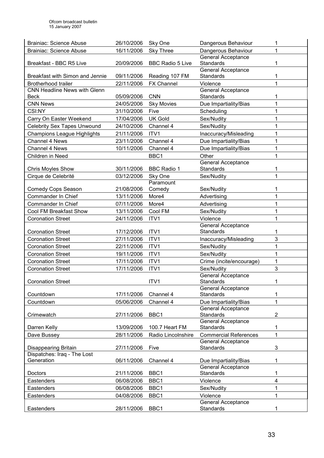| <b>Brainiac: Science Abuse</b>              | 26/10/2006 | Sky One                 | Dangerous Behaviour                           | 1                |
|---------------------------------------------|------------|-------------------------|-----------------------------------------------|------------------|
| <b>Brainiac: Science Abuse</b>              | 16/11/2006 | <b>Sky Three</b>        | Dangerous Behaviour                           | 1                |
|                                             |            |                         | General Acceptance                            |                  |
| Breakfast - BBC R5 Live                     | 20/09/2006 | <b>BBC Radio 5 Live</b> | <b>Standards</b>                              | 1                |
|                                             |            |                         | General Acceptance                            |                  |
| Breakfast with Simon and Jennie             | 09/11/2006 | Reading 107 FM          | <b>Standards</b>                              | 1                |
| <b>Brotherhood trailer</b>                  | 22/11/2006 | <b>FX Channel</b>       | Violence                                      | 1                |
| CNN Headline News with Glenn<br><b>Beck</b> | 05/09/2006 | <b>CNN</b>              | <b>General Acceptance</b><br><b>Standards</b> | 1                |
| <b>CNN News</b>                             | 24/05/2006 |                         |                                               | 1                |
|                                             |            | <b>Sky Movies</b>       | Due Impartiality/Bias                         | 1                |
| CSI:NY                                      | 31/10/2006 | Five                    | Scheduling                                    |                  |
| Carry On Easter Weekend                     | 17/04/2006 | <b>UK Gold</b>          | Sex/Nudity                                    | 1                |
| <b>Celebrity Sex Tapes Unwound</b>          | 24/10/2006 | Channel 4               | Sex/Nudity                                    | 1                |
| <b>Champions League Highlights</b>          | 21/11/2006 | ITV1                    | Inaccuracy/Misleading                         | 1                |
| Channel 4 News                              | 23/11/2006 | Channel 4               | Due Impartiality/Bias                         | 1                |
| Channel 4 News                              | 10/11/2006 | Channel 4               | Due Impartiality/Bias                         | 1                |
| Children in Need                            |            | BBC1                    | Other                                         | 1                |
|                                             |            |                         | <b>General Acceptance</b>                     |                  |
| Chris Moyles Show                           | 30/11/2006 | <b>BBC Radio 1</b>      | <b>Standards</b>                              | 1                |
| Cirque de Celebrité                         | 03/12/2006 | Sky One                 | Sex/Nudity                                    | 1                |
|                                             |            | Paramount               |                                               |                  |
| <b>Comedy Cops Season</b>                   | 21/08/2006 | Comedy                  | Sex/Nudity                                    | 1                |
| Commander In Chief                          | 13/11/2006 | More4                   | Advertising                                   | 1                |
| Commander In Chief                          | 07/11/2006 | More4                   | Advertising                                   | 1                |
| Cool FM Breakfast Show                      | 13/11/2006 | Cool FM                 | Sex/Nudity                                    | 1                |
| <b>Coronation Street</b>                    | 24/11/2006 | ITV1                    | Violence                                      | 1                |
|                                             |            |                         | <b>General Acceptance</b>                     |                  |
| <b>Coronation Street</b>                    | 17/12/2006 | ITV1                    | <b>Standards</b>                              | 1                |
| <b>Coronation Street</b>                    | 27/11/2006 | ITV1                    | Inaccuracy/Misleading                         | $\overline{3}$   |
| <b>Coronation Street</b>                    | 22/11/2006 | ITV1                    | Sex/Nudity                                    | 1                |
| <b>Coronation Street</b>                    | 19/11/2006 | ITV1                    | Sex/Nudity                                    | 1                |
| <b>Coronation Street</b>                    | 17/11/2006 | ITV1                    | Crime (incite/encourage)                      | $\mathbf 1$      |
| <b>Coronation Street</b>                    | 17/11/2006 | ITV1                    | Sex/Nudity                                    | 3                |
|                                             |            |                         | General Acceptance                            |                  |
| <b>Coronation Street</b>                    |            | ITV1                    | <b>Standards</b>                              | 1                |
| Countdown                                   | 17/11/2006 | Channel 4               | General Acceptance<br>Standards               | 1                |
| Countdown                                   | 05/06/2006 | Channel 4               | Due Impartiality/Bias                         | 1                |
|                                             |            |                         | <b>General Acceptance</b>                     |                  |
| Crimewatch                                  | 27/11/2006 | BBC1                    | Standards                                     | $\boldsymbol{2}$ |
|                                             |            |                         | <b>General Acceptance</b>                     |                  |
| Darren Kelly                                | 13/09/2006 | 100.7 Heart FM          | <b>Standards</b>                              | 1                |
| Dave Bussey                                 | 28/11/2006 | Radio Lincolnshire      | <b>Commercial References</b>                  | 1                |
|                                             |            |                         | General Acceptance                            |                  |
| Disappearing Britain                        | 27/11/2006 | Five                    | Standards                                     | 3                |
| Dispatches: Iraq - The Lost                 |            |                         |                                               |                  |
| Generation                                  | 06/11/2006 | Channel 4               | Due Impartiality/Bias                         | 1                |
|                                             |            |                         | <b>General Acceptance</b>                     |                  |
| Doctors                                     | 21/11/2006 | BBC1                    | Standards                                     | 1                |
| Eastenders                                  | 06/08/2006 | BBC1                    | Violence                                      | 4                |
| Eastenders                                  | 06/08/2006 | BBC1                    | Sex/Nudity                                    | 1                |
| Eastenders                                  | 04/08/2006 | BBC1                    | Violence                                      | 1                |
|                                             |            | BBC1                    | <b>General Acceptance</b>                     | 1                |
| Eastenders                                  | 28/11/2006 |                         | Standards                                     |                  |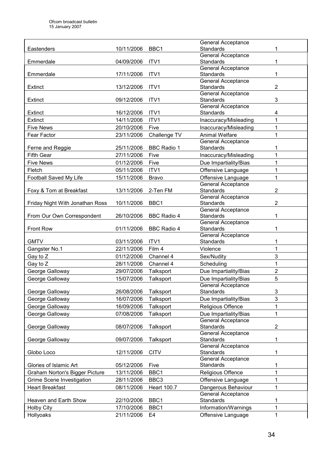| 10/11/2006<br>BBC1<br><b>Standards</b><br>1<br>Eastenders<br>General Acceptance<br>$\mathbf{1}$<br>ITV1<br><b>Standards</b><br>Emmerdale<br>04/09/2006<br>General Acceptance<br>Standards<br>Emmerdale<br>17/11/2006<br>ITV1<br>1<br>General Acceptance<br>$\overline{2}$<br>13/12/2006<br>ITV1<br><b>Standards</b><br>Extinct<br><b>General Acceptance</b><br>3<br>ITV1<br>Standards<br>Extinct<br>09/12/2006<br>General Acceptance<br>16/12/2006<br>ITV1<br><b>Standards</b><br>4<br>Extinct<br>Extinct<br>14/11/2006<br>ITV1<br>$\mathbf{1}$<br>Inaccuracy/Misleading<br>$\mathbf 1$<br>20/10/2006<br>Five<br>Inaccuracy/Misleading<br><b>Five News</b><br>Challenge TV<br><b>Animal Welfare</b><br>$\mathbf{1}$<br>Fear Factor<br>23/11/2006<br><b>General Acceptance</b><br>25/11/2006<br><b>BBC Radio 1</b><br><b>Standards</b><br>1<br>Ferne and Reggie<br>$\mathbf{1}$<br>27/11/2006<br><b>Fifth Gear</b><br>Five<br>Inaccuracy/Misleading<br><b>Five News</b><br>01/12/2006<br>Due Impartiality/Bias<br>$\mathbf{1}$<br>Five<br>$\mathbf{1}$<br>05/11/2006<br>ITV1<br>Fletch<br>Offensive Language<br>$\mathbf{1}$<br>Football Saved My Life<br>15/11/2006<br>Offensive Language<br><b>Bravo</b><br>General Acceptance<br>$\overline{2}$<br>13/11/2006<br>2-Ten FM<br>Standards<br>Foxy & Tom at Breakfast<br>General Acceptance<br>BBC1<br>$\overline{2}$<br>10/11/2006<br>Standards<br>Friday Night With Jonathan Ross<br><b>General Acceptance</b><br><b>Standards</b><br>26/10/2006<br><b>BBC Radio 4</b><br>1<br>From Our Own Correspondent<br>General Acceptance<br>1<br>Front Row<br>01/11/2006<br><b>Standards</b><br><b>BBC Radio 4</b><br>General Acceptance<br><b>GMTV</b><br>03/11/2006<br>ITV1<br><b>Standards</b><br>1<br>$\mathbf 1$<br>22/11/2006<br>Film 4<br>Violence<br>Gangster No.1<br>3<br>01/12/2006<br>Channel 4<br>Sex/Nudity<br>Gay to Z<br>$\mathbf{1}$<br>Gay to Z<br>28/11/2006<br>Channel 4<br>Scheduling<br>$\overline{2}$<br>George Galloway<br>29/07/2006<br>Talksport<br>Due Impartiality/Bias<br>5<br>George Galloway<br>15/07/2006<br><b>Talksport</b><br>Due Impartiality/Bias<br>General Acceptance<br>George Galloway<br>26/08/2006<br>Standards<br>3<br>Talksport<br>3<br>George Galloway<br>16/07/2006<br>Talksport<br>Due Impartiality/Bias<br>1<br>George Galloway<br>16/09/2006<br>Talksport<br>Religious Offence<br>George Galloway<br>07/08/2006<br>Talksport<br>Due Impartiality/Bias<br>1<br><b>General Acceptance</b><br><b>Standards</b><br>$\overline{c}$<br>George Galloway<br>08/07/2006<br>Talksport<br><b>General Acceptance</b><br>09/07/2006<br>Standards<br>1<br>George Galloway<br>Talksport<br><b>General Acceptance</b><br><b>CITV</b><br><b>Standards</b><br>1<br>Globo Loco<br>12/11/2006<br><b>General Acceptance</b><br><b>Standards</b><br>Glories of Islamic Art<br>05/12/2006<br>Five<br>1<br>$\mathbf 1$<br>BBC1<br>13/11/2006<br>Religious Offence<br>Graham Norton's Bigger Picture<br>Grime Scene Investigation<br>28/11/2006<br>BBC3<br>Offensive Language<br>1<br><b>Heart Breakfast</b><br>08/11/2006<br><b>Heart 100.7</b><br>Dangerous Behaviour<br>$\mathbf{1}$<br><b>General Acceptance</b><br>BBC1<br>Heaven and Earth Show<br>22/10/2006<br><b>Standards</b><br>1<br>BBC1<br><b>Holby City</b><br>17/10/2006<br>Information/Warnings<br>1<br>$\mathbf{1}$<br>Hollyoaks<br>21/11/2006<br>E <sub>4</sub><br>Offensive Language |  | <b>General Acceptance</b> |  |
|------------------------------------------------------------------------------------------------------------------------------------------------------------------------------------------------------------------------------------------------------------------------------------------------------------------------------------------------------------------------------------------------------------------------------------------------------------------------------------------------------------------------------------------------------------------------------------------------------------------------------------------------------------------------------------------------------------------------------------------------------------------------------------------------------------------------------------------------------------------------------------------------------------------------------------------------------------------------------------------------------------------------------------------------------------------------------------------------------------------------------------------------------------------------------------------------------------------------------------------------------------------------------------------------------------------------------------------------------------------------------------------------------------------------------------------------------------------------------------------------------------------------------------------------------------------------------------------------------------------------------------------------------------------------------------------------------------------------------------------------------------------------------------------------------------------------------------------------------------------------------------------------------------------------------------------------------------------------------------------------------------------------------------------------------------------------------------------------------------------------------------------------------------------------------------------------------------------------------------------------------------------------------------------------------------------------------------------------------------------------------------------------------------------------------------------------------------------------------------------------------------------------------------------------------------------------------------------------------------------------------------------------------------------------------------------------------------------------------------------------------------------------------------------------------------------------------------------------------------------------------------------------------------------------------------------------------------------------------------------------------------------------------------------------------------------------------------------------------------------------------------------------------------------------------------------------------------------------------------------------------------------------------------------------------------------------------------------------------------------------------------------------------------------------|--|---------------------------|--|
|                                                                                                                                                                                                                                                                                                                                                                                                                                                                                                                                                                                                                                                                                                                                                                                                                                                                                                                                                                                                                                                                                                                                                                                                                                                                                                                                                                                                                                                                                                                                                                                                                                                                                                                                                                                                                                                                                                                                                                                                                                                                                                                                                                                                                                                                                                                                                                                                                                                                                                                                                                                                                                                                                                                                                                                                                                                                                                                                                                                                                                                                                                                                                                                                                                                                                                                                                                                                                        |  |                           |  |
|                                                                                                                                                                                                                                                                                                                                                                                                                                                                                                                                                                                                                                                                                                                                                                                                                                                                                                                                                                                                                                                                                                                                                                                                                                                                                                                                                                                                                                                                                                                                                                                                                                                                                                                                                                                                                                                                                                                                                                                                                                                                                                                                                                                                                                                                                                                                                                                                                                                                                                                                                                                                                                                                                                                                                                                                                                                                                                                                                                                                                                                                                                                                                                                                                                                                                                                                                                                                                        |  |                           |  |
|                                                                                                                                                                                                                                                                                                                                                                                                                                                                                                                                                                                                                                                                                                                                                                                                                                                                                                                                                                                                                                                                                                                                                                                                                                                                                                                                                                                                                                                                                                                                                                                                                                                                                                                                                                                                                                                                                                                                                                                                                                                                                                                                                                                                                                                                                                                                                                                                                                                                                                                                                                                                                                                                                                                                                                                                                                                                                                                                                                                                                                                                                                                                                                                                                                                                                                                                                                                                                        |  |                           |  |
|                                                                                                                                                                                                                                                                                                                                                                                                                                                                                                                                                                                                                                                                                                                                                                                                                                                                                                                                                                                                                                                                                                                                                                                                                                                                                                                                                                                                                                                                                                                                                                                                                                                                                                                                                                                                                                                                                                                                                                                                                                                                                                                                                                                                                                                                                                                                                                                                                                                                                                                                                                                                                                                                                                                                                                                                                                                                                                                                                                                                                                                                                                                                                                                                                                                                                                                                                                                                                        |  |                           |  |
|                                                                                                                                                                                                                                                                                                                                                                                                                                                                                                                                                                                                                                                                                                                                                                                                                                                                                                                                                                                                                                                                                                                                                                                                                                                                                                                                                                                                                                                                                                                                                                                                                                                                                                                                                                                                                                                                                                                                                                                                                                                                                                                                                                                                                                                                                                                                                                                                                                                                                                                                                                                                                                                                                                                                                                                                                                                                                                                                                                                                                                                                                                                                                                                                                                                                                                                                                                                                                        |  |                           |  |
|                                                                                                                                                                                                                                                                                                                                                                                                                                                                                                                                                                                                                                                                                                                                                                                                                                                                                                                                                                                                                                                                                                                                                                                                                                                                                                                                                                                                                                                                                                                                                                                                                                                                                                                                                                                                                                                                                                                                                                                                                                                                                                                                                                                                                                                                                                                                                                                                                                                                                                                                                                                                                                                                                                                                                                                                                                                                                                                                                                                                                                                                                                                                                                                                                                                                                                                                                                                                                        |  |                           |  |
|                                                                                                                                                                                                                                                                                                                                                                                                                                                                                                                                                                                                                                                                                                                                                                                                                                                                                                                                                                                                                                                                                                                                                                                                                                                                                                                                                                                                                                                                                                                                                                                                                                                                                                                                                                                                                                                                                                                                                                                                                                                                                                                                                                                                                                                                                                                                                                                                                                                                                                                                                                                                                                                                                                                                                                                                                                                                                                                                                                                                                                                                                                                                                                                                                                                                                                                                                                                                                        |  |                           |  |
|                                                                                                                                                                                                                                                                                                                                                                                                                                                                                                                                                                                                                                                                                                                                                                                                                                                                                                                                                                                                                                                                                                                                                                                                                                                                                                                                                                                                                                                                                                                                                                                                                                                                                                                                                                                                                                                                                                                                                                                                                                                                                                                                                                                                                                                                                                                                                                                                                                                                                                                                                                                                                                                                                                                                                                                                                                                                                                                                                                                                                                                                                                                                                                                                                                                                                                                                                                                                                        |  |                           |  |
|                                                                                                                                                                                                                                                                                                                                                                                                                                                                                                                                                                                                                                                                                                                                                                                                                                                                                                                                                                                                                                                                                                                                                                                                                                                                                                                                                                                                                                                                                                                                                                                                                                                                                                                                                                                                                                                                                                                                                                                                                                                                                                                                                                                                                                                                                                                                                                                                                                                                                                                                                                                                                                                                                                                                                                                                                                                                                                                                                                                                                                                                                                                                                                                                                                                                                                                                                                                                                        |  |                           |  |
|                                                                                                                                                                                                                                                                                                                                                                                                                                                                                                                                                                                                                                                                                                                                                                                                                                                                                                                                                                                                                                                                                                                                                                                                                                                                                                                                                                                                                                                                                                                                                                                                                                                                                                                                                                                                                                                                                                                                                                                                                                                                                                                                                                                                                                                                                                                                                                                                                                                                                                                                                                                                                                                                                                                                                                                                                                                                                                                                                                                                                                                                                                                                                                                                                                                                                                                                                                                                                        |  |                           |  |
|                                                                                                                                                                                                                                                                                                                                                                                                                                                                                                                                                                                                                                                                                                                                                                                                                                                                                                                                                                                                                                                                                                                                                                                                                                                                                                                                                                                                                                                                                                                                                                                                                                                                                                                                                                                                                                                                                                                                                                                                                                                                                                                                                                                                                                                                                                                                                                                                                                                                                                                                                                                                                                                                                                                                                                                                                                                                                                                                                                                                                                                                                                                                                                                                                                                                                                                                                                                                                        |  |                           |  |
|                                                                                                                                                                                                                                                                                                                                                                                                                                                                                                                                                                                                                                                                                                                                                                                                                                                                                                                                                                                                                                                                                                                                                                                                                                                                                                                                                                                                                                                                                                                                                                                                                                                                                                                                                                                                                                                                                                                                                                                                                                                                                                                                                                                                                                                                                                                                                                                                                                                                                                                                                                                                                                                                                                                                                                                                                                                                                                                                                                                                                                                                                                                                                                                                                                                                                                                                                                                                                        |  |                           |  |
|                                                                                                                                                                                                                                                                                                                                                                                                                                                                                                                                                                                                                                                                                                                                                                                                                                                                                                                                                                                                                                                                                                                                                                                                                                                                                                                                                                                                                                                                                                                                                                                                                                                                                                                                                                                                                                                                                                                                                                                                                                                                                                                                                                                                                                                                                                                                                                                                                                                                                                                                                                                                                                                                                                                                                                                                                                                                                                                                                                                                                                                                                                                                                                                                                                                                                                                                                                                                                        |  |                           |  |
|                                                                                                                                                                                                                                                                                                                                                                                                                                                                                                                                                                                                                                                                                                                                                                                                                                                                                                                                                                                                                                                                                                                                                                                                                                                                                                                                                                                                                                                                                                                                                                                                                                                                                                                                                                                                                                                                                                                                                                                                                                                                                                                                                                                                                                                                                                                                                                                                                                                                                                                                                                                                                                                                                                                                                                                                                                                                                                                                                                                                                                                                                                                                                                                                                                                                                                                                                                                                                        |  |                           |  |
|                                                                                                                                                                                                                                                                                                                                                                                                                                                                                                                                                                                                                                                                                                                                                                                                                                                                                                                                                                                                                                                                                                                                                                                                                                                                                                                                                                                                                                                                                                                                                                                                                                                                                                                                                                                                                                                                                                                                                                                                                                                                                                                                                                                                                                                                                                                                                                                                                                                                                                                                                                                                                                                                                                                                                                                                                                                                                                                                                                                                                                                                                                                                                                                                                                                                                                                                                                                                                        |  |                           |  |
|                                                                                                                                                                                                                                                                                                                                                                                                                                                                                                                                                                                                                                                                                                                                                                                                                                                                                                                                                                                                                                                                                                                                                                                                                                                                                                                                                                                                                                                                                                                                                                                                                                                                                                                                                                                                                                                                                                                                                                                                                                                                                                                                                                                                                                                                                                                                                                                                                                                                                                                                                                                                                                                                                                                                                                                                                                                                                                                                                                                                                                                                                                                                                                                                                                                                                                                                                                                                                        |  |                           |  |
|                                                                                                                                                                                                                                                                                                                                                                                                                                                                                                                                                                                                                                                                                                                                                                                                                                                                                                                                                                                                                                                                                                                                                                                                                                                                                                                                                                                                                                                                                                                                                                                                                                                                                                                                                                                                                                                                                                                                                                                                                                                                                                                                                                                                                                                                                                                                                                                                                                                                                                                                                                                                                                                                                                                                                                                                                                                                                                                                                                                                                                                                                                                                                                                                                                                                                                                                                                                                                        |  |                           |  |
|                                                                                                                                                                                                                                                                                                                                                                                                                                                                                                                                                                                                                                                                                                                                                                                                                                                                                                                                                                                                                                                                                                                                                                                                                                                                                                                                                                                                                                                                                                                                                                                                                                                                                                                                                                                                                                                                                                                                                                                                                                                                                                                                                                                                                                                                                                                                                                                                                                                                                                                                                                                                                                                                                                                                                                                                                                                                                                                                                                                                                                                                                                                                                                                                                                                                                                                                                                                                                        |  |                           |  |
|                                                                                                                                                                                                                                                                                                                                                                                                                                                                                                                                                                                                                                                                                                                                                                                                                                                                                                                                                                                                                                                                                                                                                                                                                                                                                                                                                                                                                                                                                                                                                                                                                                                                                                                                                                                                                                                                                                                                                                                                                                                                                                                                                                                                                                                                                                                                                                                                                                                                                                                                                                                                                                                                                                                                                                                                                                                                                                                                                                                                                                                                                                                                                                                                                                                                                                                                                                                                                        |  |                           |  |
|                                                                                                                                                                                                                                                                                                                                                                                                                                                                                                                                                                                                                                                                                                                                                                                                                                                                                                                                                                                                                                                                                                                                                                                                                                                                                                                                                                                                                                                                                                                                                                                                                                                                                                                                                                                                                                                                                                                                                                                                                                                                                                                                                                                                                                                                                                                                                                                                                                                                                                                                                                                                                                                                                                                                                                                                                                                                                                                                                                                                                                                                                                                                                                                                                                                                                                                                                                                                                        |  |                           |  |
|                                                                                                                                                                                                                                                                                                                                                                                                                                                                                                                                                                                                                                                                                                                                                                                                                                                                                                                                                                                                                                                                                                                                                                                                                                                                                                                                                                                                                                                                                                                                                                                                                                                                                                                                                                                                                                                                                                                                                                                                                                                                                                                                                                                                                                                                                                                                                                                                                                                                                                                                                                                                                                                                                                                                                                                                                                                                                                                                                                                                                                                                                                                                                                                                                                                                                                                                                                                                                        |  |                           |  |
|                                                                                                                                                                                                                                                                                                                                                                                                                                                                                                                                                                                                                                                                                                                                                                                                                                                                                                                                                                                                                                                                                                                                                                                                                                                                                                                                                                                                                                                                                                                                                                                                                                                                                                                                                                                                                                                                                                                                                                                                                                                                                                                                                                                                                                                                                                                                                                                                                                                                                                                                                                                                                                                                                                                                                                                                                                                                                                                                                                                                                                                                                                                                                                                                                                                                                                                                                                                                                        |  |                           |  |
|                                                                                                                                                                                                                                                                                                                                                                                                                                                                                                                                                                                                                                                                                                                                                                                                                                                                                                                                                                                                                                                                                                                                                                                                                                                                                                                                                                                                                                                                                                                                                                                                                                                                                                                                                                                                                                                                                                                                                                                                                                                                                                                                                                                                                                                                                                                                                                                                                                                                                                                                                                                                                                                                                                                                                                                                                                                                                                                                                                                                                                                                                                                                                                                                                                                                                                                                                                                                                        |  |                           |  |
|                                                                                                                                                                                                                                                                                                                                                                                                                                                                                                                                                                                                                                                                                                                                                                                                                                                                                                                                                                                                                                                                                                                                                                                                                                                                                                                                                                                                                                                                                                                                                                                                                                                                                                                                                                                                                                                                                                                                                                                                                                                                                                                                                                                                                                                                                                                                                                                                                                                                                                                                                                                                                                                                                                                                                                                                                                                                                                                                                                                                                                                                                                                                                                                                                                                                                                                                                                                                                        |  |                           |  |
|                                                                                                                                                                                                                                                                                                                                                                                                                                                                                                                                                                                                                                                                                                                                                                                                                                                                                                                                                                                                                                                                                                                                                                                                                                                                                                                                                                                                                                                                                                                                                                                                                                                                                                                                                                                                                                                                                                                                                                                                                                                                                                                                                                                                                                                                                                                                                                                                                                                                                                                                                                                                                                                                                                                                                                                                                                                                                                                                                                                                                                                                                                                                                                                                                                                                                                                                                                                                                        |  |                           |  |
|                                                                                                                                                                                                                                                                                                                                                                                                                                                                                                                                                                                                                                                                                                                                                                                                                                                                                                                                                                                                                                                                                                                                                                                                                                                                                                                                                                                                                                                                                                                                                                                                                                                                                                                                                                                                                                                                                                                                                                                                                                                                                                                                                                                                                                                                                                                                                                                                                                                                                                                                                                                                                                                                                                                                                                                                                                                                                                                                                                                                                                                                                                                                                                                                                                                                                                                                                                                                                        |  |                           |  |
|                                                                                                                                                                                                                                                                                                                                                                                                                                                                                                                                                                                                                                                                                                                                                                                                                                                                                                                                                                                                                                                                                                                                                                                                                                                                                                                                                                                                                                                                                                                                                                                                                                                                                                                                                                                                                                                                                                                                                                                                                                                                                                                                                                                                                                                                                                                                                                                                                                                                                                                                                                                                                                                                                                                                                                                                                                                                                                                                                                                                                                                                                                                                                                                                                                                                                                                                                                                                                        |  |                           |  |
|                                                                                                                                                                                                                                                                                                                                                                                                                                                                                                                                                                                                                                                                                                                                                                                                                                                                                                                                                                                                                                                                                                                                                                                                                                                                                                                                                                                                                                                                                                                                                                                                                                                                                                                                                                                                                                                                                                                                                                                                                                                                                                                                                                                                                                                                                                                                                                                                                                                                                                                                                                                                                                                                                                                                                                                                                                                                                                                                                                                                                                                                                                                                                                                                                                                                                                                                                                                                                        |  |                           |  |
|                                                                                                                                                                                                                                                                                                                                                                                                                                                                                                                                                                                                                                                                                                                                                                                                                                                                                                                                                                                                                                                                                                                                                                                                                                                                                                                                                                                                                                                                                                                                                                                                                                                                                                                                                                                                                                                                                                                                                                                                                                                                                                                                                                                                                                                                                                                                                                                                                                                                                                                                                                                                                                                                                                                                                                                                                                                                                                                                                                                                                                                                                                                                                                                                                                                                                                                                                                                                                        |  |                           |  |
|                                                                                                                                                                                                                                                                                                                                                                                                                                                                                                                                                                                                                                                                                                                                                                                                                                                                                                                                                                                                                                                                                                                                                                                                                                                                                                                                                                                                                                                                                                                                                                                                                                                                                                                                                                                                                                                                                                                                                                                                                                                                                                                                                                                                                                                                                                                                                                                                                                                                                                                                                                                                                                                                                                                                                                                                                                                                                                                                                                                                                                                                                                                                                                                                                                                                                                                                                                                                                        |  |                           |  |
|                                                                                                                                                                                                                                                                                                                                                                                                                                                                                                                                                                                                                                                                                                                                                                                                                                                                                                                                                                                                                                                                                                                                                                                                                                                                                                                                                                                                                                                                                                                                                                                                                                                                                                                                                                                                                                                                                                                                                                                                                                                                                                                                                                                                                                                                                                                                                                                                                                                                                                                                                                                                                                                                                                                                                                                                                                                                                                                                                                                                                                                                                                                                                                                                                                                                                                                                                                                                                        |  |                           |  |
|                                                                                                                                                                                                                                                                                                                                                                                                                                                                                                                                                                                                                                                                                                                                                                                                                                                                                                                                                                                                                                                                                                                                                                                                                                                                                                                                                                                                                                                                                                                                                                                                                                                                                                                                                                                                                                                                                                                                                                                                                                                                                                                                                                                                                                                                                                                                                                                                                                                                                                                                                                                                                                                                                                                                                                                                                                                                                                                                                                                                                                                                                                                                                                                                                                                                                                                                                                                                                        |  |                           |  |
|                                                                                                                                                                                                                                                                                                                                                                                                                                                                                                                                                                                                                                                                                                                                                                                                                                                                                                                                                                                                                                                                                                                                                                                                                                                                                                                                                                                                                                                                                                                                                                                                                                                                                                                                                                                                                                                                                                                                                                                                                                                                                                                                                                                                                                                                                                                                                                                                                                                                                                                                                                                                                                                                                                                                                                                                                                                                                                                                                                                                                                                                                                                                                                                                                                                                                                                                                                                                                        |  |                           |  |
|                                                                                                                                                                                                                                                                                                                                                                                                                                                                                                                                                                                                                                                                                                                                                                                                                                                                                                                                                                                                                                                                                                                                                                                                                                                                                                                                                                                                                                                                                                                                                                                                                                                                                                                                                                                                                                                                                                                                                                                                                                                                                                                                                                                                                                                                                                                                                                                                                                                                                                                                                                                                                                                                                                                                                                                                                                                                                                                                                                                                                                                                                                                                                                                                                                                                                                                                                                                                                        |  |                           |  |
|                                                                                                                                                                                                                                                                                                                                                                                                                                                                                                                                                                                                                                                                                                                                                                                                                                                                                                                                                                                                                                                                                                                                                                                                                                                                                                                                                                                                                                                                                                                                                                                                                                                                                                                                                                                                                                                                                                                                                                                                                                                                                                                                                                                                                                                                                                                                                                                                                                                                                                                                                                                                                                                                                                                                                                                                                                                                                                                                                                                                                                                                                                                                                                                                                                                                                                                                                                                                                        |  |                           |  |
|                                                                                                                                                                                                                                                                                                                                                                                                                                                                                                                                                                                                                                                                                                                                                                                                                                                                                                                                                                                                                                                                                                                                                                                                                                                                                                                                                                                                                                                                                                                                                                                                                                                                                                                                                                                                                                                                                                                                                                                                                                                                                                                                                                                                                                                                                                                                                                                                                                                                                                                                                                                                                                                                                                                                                                                                                                                                                                                                                                                                                                                                                                                                                                                                                                                                                                                                                                                                                        |  |                           |  |
|                                                                                                                                                                                                                                                                                                                                                                                                                                                                                                                                                                                                                                                                                                                                                                                                                                                                                                                                                                                                                                                                                                                                                                                                                                                                                                                                                                                                                                                                                                                                                                                                                                                                                                                                                                                                                                                                                                                                                                                                                                                                                                                                                                                                                                                                                                                                                                                                                                                                                                                                                                                                                                                                                                                                                                                                                                                                                                                                                                                                                                                                                                                                                                                                                                                                                                                                                                                                                        |  |                           |  |
|                                                                                                                                                                                                                                                                                                                                                                                                                                                                                                                                                                                                                                                                                                                                                                                                                                                                                                                                                                                                                                                                                                                                                                                                                                                                                                                                                                                                                                                                                                                                                                                                                                                                                                                                                                                                                                                                                                                                                                                                                                                                                                                                                                                                                                                                                                                                                                                                                                                                                                                                                                                                                                                                                                                                                                                                                                                                                                                                                                                                                                                                                                                                                                                                                                                                                                                                                                                                                        |  |                           |  |
|                                                                                                                                                                                                                                                                                                                                                                                                                                                                                                                                                                                                                                                                                                                                                                                                                                                                                                                                                                                                                                                                                                                                                                                                                                                                                                                                                                                                                                                                                                                                                                                                                                                                                                                                                                                                                                                                                                                                                                                                                                                                                                                                                                                                                                                                                                                                                                                                                                                                                                                                                                                                                                                                                                                                                                                                                                                                                                                                                                                                                                                                                                                                                                                                                                                                                                                                                                                                                        |  |                           |  |
|                                                                                                                                                                                                                                                                                                                                                                                                                                                                                                                                                                                                                                                                                                                                                                                                                                                                                                                                                                                                                                                                                                                                                                                                                                                                                                                                                                                                                                                                                                                                                                                                                                                                                                                                                                                                                                                                                                                                                                                                                                                                                                                                                                                                                                                                                                                                                                                                                                                                                                                                                                                                                                                                                                                                                                                                                                                                                                                                                                                                                                                                                                                                                                                                                                                                                                                                                                                                                        |  |                           |  |
|                                                                                                                                                                                                                                                                                                                                                                                                                                                                                                                                                                                                                                                                                                                                                                                                                                                                                                                                                                                                                                                                                                                                                                                                                                                                                                                                                                                                                                                                                                                                                                                                                                                                                                                                                                                                                                                                                                                                                                                                                                                                                                                                                                                                                                                                                                                                                                                                                                                                                                                                                                                                                                                                                                                                                                                                                                                                                                                                                                                                                                                                                                                                                                                                                                                                                                                                                                                                                        |  |                           |  |
|                                                                                                                                                                                                                                                                                                                                                                                                                                                                                                                                                                                                                                                                                                                                                                                                                                                                                                                                                                                                                                                                                                                                                                                                                                                                                                                                                                                                                                                                                                                                                                                                                                                                                                                                                                                                                                                                                                                                                                                                                                                                                                                                                                                                                                                                                                                                                                                                                                                                                                                                                                                                                                                                                                                                                                                                                                                                                                                                                                                                                                                                                                                                                                                                                                                                                                                                                                                                                        |  |                           |  |
|                                                                                                                                                                                                                                                                                                                                                                                                                                                                                                                                                                                                                                                                                                                                                                                                                                                                                                                                                                                                                                                                                                                                                                                                                                                                                                                                                                                                                                                                                                                                                                                                                                                                                                                                                                                                                                                                                                                                                                                                                                                                                                                                                                                                                                                                                                                                                                                                                                                                                                                                                                                                                                                                                                                                                                                                                                                                                                                                                                                                                                                                                                                                                                                                                                                                                                                                                                                                                        |  |                           |  |
|                                                                                                                                                                                                                                                                                                                                                                                                                                                                                                                                                                                                                                                                                                                                                                                                                                                                                                                                                                                                                                                                                                                                                                                                                                                                                                                                                                                                                                                                                                                                                                                                                                                                                                                                                                                                                                                                                                                                                                                                                                                                                                                                                                                                                                                                                                                                                                                                                                                                                                                                                                                                                                                                                                                                                                                                                                                                                                                                                                                                                                                                                                                                                                                                                                                                                                                                                                                                                        |  |                           |  |
|                                                                                                                                                                                                                                                                                                                                                                                                                                                                                                                                                                                                                                                                                                                                                                                                                                                                                                                                                                                                                                                                                                                                                                                                                                                                                                                                                                                                                                                                                                                                                                                                                                                                                                                                                                                                                                                                                                                                                                                                                                                                                                                                                                                                                                                                                                                                                                                                                                                                                                                                                                                                                                                                                                                                                                                                                                                                                                                                                                                                                                                                                                                                                                                                                                                                                                                                                                                                                        |  |                           |  |
|                                                                                                                                                                                                                                                                                                                                                                                                                                                                                                                                                                                                                                                                                                                                                                                                                                                                                                                                                                                                                                                                                                                                                                                                                                                                                                                                                                                                                                                                                                                                                                                                                                                                                                                                                                                                                                                                                                                                                                                                                                                                                                                                                                                                                                                                                                                                                                                                                                                                                                                                                                                                                                                                                                                                                                                                                                                                                                                                                                                                                                                                                                                                                                                                                                                                                                                                                                                                                        |  |                           |  |
|                                                                                                                                                                                                                                                                                                                                                                                                                                                                                                                                                                                                                                                                                                                                                                                                                                                                                                                                                                                                                                                                                                                                                                                                                                                                                                                                                                                                                                                                                                                                                                                                                                                                                                                                                                                                                                                                                                                                                                                                                                                                                                                                                                                                                                                                                                                                                                                                                                                                                                                                                                                                                                                                                                                                                                                                                                                                                                                                                                                                                                                                                                                                                                                                                                                                                                                                                                                                                        |  |                           |  |
|                                                                                                                                                                                                                                                                                                                                                                                                                                                                                                                                                                                                                                                                                                                                                                                                                                                                                                                                                                                                                                                                                                                                                                                                                                                                                                                                                                                                                                                                                                                                                                                                                                                                                                                                                                                                                                                                                                                                                                                                                                                                                                                                                                                                                                                                                                                                                                                                                                                                                                                                                                                                                                                                                                                                                                                                                                                                                                                                                                                                                                                                                                                                                                                                                                                                                                                                                                                                                        |  |                           |  |
|                                                                                                                                                                                                                                                                                                                                                                                                                                                                                                                                                                                                                                                                                                                                                                                                                                                                                                                                                                                                                                                                                                                                                                                                                                                                                                                                                                                                                                                                                                                                                                                                                                                                                                                                                                                                                                                                                                                                                                                                                                                                                                                                                                                                                                                                                                                                                                                                                                                                                                                                                                                                                                                                                                                                                                                                                                                                                                                                                                                                                                                                                                                                                                                                                                                                                                                                                                                                                        |  |                           |  |
|                                                                                                                                                                                                                                                                                                                                                                                                                                                                                                                                                                                                                                                                                                                                                                                                                                                                                                                                                                                                                                                                                                                                                                                                                                                                                                                                                                                                                                                                                                                                                                                                                                                                                                                                                                                                                                                                                                                                                                                                                                                                                                                                                                                                                                                                                                                                                                                                                                                                                                                                                                                                                                                                                                                                                                                                                                                                                                                                                                                                                                                                                                                                                                                                                                                                                                                                                                                                                        |  |                           |  |
|                                                                                                                                                                                                                                                                                                                                                                                                                                                                                                                                                                                                                                                                                                                                                                                                                                                                                                                                                                                                                                                                                                                                                                                                                                                                                                                                                                                                                                                                                                                                                                                                                                                                                                                                                                                                                                                                                                                                                                                                                                                                                                                                                                                                                                                                                                                                                                                                                                                                                                                                                                                                                                                                                                                                                                                                                                                                                                                                                                                                                                                                                                                                                                                                                                                                                                                                                                                                                        |  |                           |  |
|                                                                                                                                                                                                                                                                                                                                                                                                                                                                                                                                                                                                                                                                                                                                                                                                                                                                                                                                                                                                                                                                                                                                                                                                                                                                                                                                                                                                                                                                                                                                                                                                                                                                                                                                                                                                                                                                                                                                                                                                                                                                                                                                                                                                                                                                                                                                                                                                                                                                                                                                                                                                                                                                                                                                                                                                                                                                                                                                                                                                                                                                                                                                                                                                                                                                                                                                                                                                                        |  |                           |  |
|                                                                                                                                                                                                                                                                                                                                                                                                                                                                                                                                                                                                                                                                                                                                                                                                                                                                                                                                                                                                                                                                                                                                                                                                                                                                                                                                                                                                                                                                                                                                                                                                                                                                                                                                                                                                                                                                                                                                                                                                                                                                                                                                                                                                                                                                                                                                                                                                                                                                                                                                                                                                                                                                                                                                                                                                                                                                                                                                                                                                                                                                                                                                                                                                                                                                                                                                                                                                                        |  |                           |  |
|                                                                                                                                                                                                                                                                                                                                                                                                                                                                                                                                                                                                                                                                                                                                                                                                                                                                                                                                                                                                                                                                                                                                                                                                                                                                                                                                                                                                                                                                                                                                                                                                                                                                                                                                                                                                                                                                                                                                                                                                                                                                                                                                                                                                                                                                                                                                                                                                                                                                                                                                                                                                                                                                                                                                                                                                                                                                                                                                                                                                                                                                                                                                                                                                                                                                                                                                                                                                                        |  |                           |  |
|                                                                                                                                                                                                                                                                                                                                                                                                                                                                                                                                                                                                                                                                                                                                                                                                                                                                                                                                                                                                                                                                                                                                                                                                                                                                                                                                                                                                                                                                                                                                                                                                                                                                                                                                                                                                                                                                                                                                                                                                                                                                                                                                                                                                                                                                                                                                                                                                                                                                                                                                                                                                                                                                                                                                                                                                                                                                                                                                                                                                                                                                                                                                                                                                                                                                                                                                                                                                                        |  |                           |  |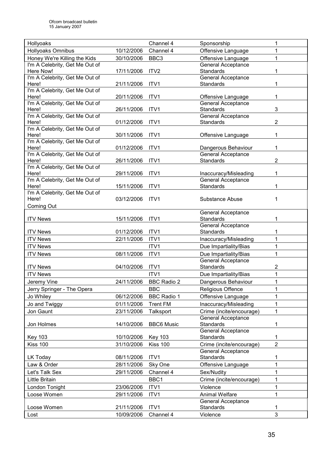| Hollyoaks                               |            | Channel 4          | Sponsorship               | 1                       |
|-----------------------------------------|------------|--------------------|---------------------------|-------------------------|
| Hollyoaks Omnibus                       | 10/12/2006 | Channel 4          | Offensive Language        | 1                       |
| Honey We're Killing the Kids            | 30/10/2006 | BBC <sub>3</sub>   | Offensive Language        | 1                       |
| I'm A Celebrity, Get Me Out of          |            |                    | <b>General Acceptance</b> |                         |
| Here Now!                               | 17/11/2006 | ITV <sub>2</sub>   | <b>Standards</b>          | 1                       |
| I'm A Celebrity, Get Me Out of          |            |                    | General Acceptance        |                         |
| Here!                                   | 21/11/2006 | ITV1               | <b>Standards</b>          | 1                       |
| I'm A Celebrity, Get Me Out of          |            |                    |                           |                         |
| Here!                                   | 20/11/2006 | ITV1               | Offensive Language        | 1                       |
| I'm A Celebrity, Get Me Out of          |            |                    | <b>General Acceptance</b> |                         |
| Here!                                   | 26/11/2006 | ITV1               | <b>Standards</b>          | 3                       |
| I'm A Celebrity, Get Me Out of          |            |                    | General Acceptance        |                         |
| Here!                                   | 01/12/2006 | ITV1               | Standards                 | 2                       |
| I'm A Celebrity, Get Me Out of          |            |                    |                           |                         |
| Here!<br>I'm A Celebrity, Get Me Out of | 30/11/2006 | ITV1               | Offensive Language        | 1                       |
| Here!                                   | 01/12/2006 | ITV1               | Dangerous Behaviour       | 1                       |
| I'm A Celebrity, Get Me Out of          |            |                    | <b>General Acceptance</b> |                         |
| Here!                                   | 26/11/2006 | ITV1               | <b>Standards</b>          | $\overline{2}$          |
| I'm A Celebrity, Get Me Out of          |            |                    |                           |                         |
| Here!                                   | 29/11/2006 | ITV1               | Inaccuracy/Misleading     | 1                       |
| I'm A Celebrity, Get Me Out of          |            |                    | General Acceptance        |                         |
| Here!                                   | 15/11/2006 | ITV1               | <b>Standards</b>          | 1                       |
| I'm A Celebrity, Get Me Out of          |            |                    |                           |                         |
| Here!                                   | 03/12/2006 | ITV <sub>1</sub>   | Substance Abuse           | 1                       |
| Coming Out                              |            |                    |                           |                         |
|                                         |            |                    | <b>General Acceptance</b> |                         |
| <b>ITV News</b>                         | 15/11/2006 | ITV1               | <b>Standards</b>          | 1                       |
|                                         |            |                    | <b>General Acceptance</b> |                         |
| <b>ITV News</b>                         | 01/12/2006 | ITV1               | <b>Standards</b>          | 1                       |
| <b>ITV News</b>                         | 22/11/2006 | ITV1               | Inaccuracy/Misleading     | 1                       |
| <b>ITV News</b>                         |            | ITV1               | Due Impartiality/Bias     | 1                       |
| <b>ITV News</b>                         | 08/11/2006 | ITV1               | Due Impartiality/Bias     | $\mathbf{1}$            |
|                                         |            |                    | <b>General Acceptance</b> |                         |
| <b>ITV News</b>                         | 04/10/2006 | ITV1               | <b>Standards</b>          | $\overline{\mathbf{c}}$ |
| <b>ITV News</b>                         |            | ITV1               | Due Impartiality/Bias     | 1                       |
| Jeremy Vine                             | 24/11/2006 | <b>BBC Radio 2</b> | Dangerous Behaviour       | $\mathbf 1$             |
| Jerry Springer - The Opera              |            | <b>BBC</b>         | <b>Religious Offence</b>  | 1                       |
| Jo Whiley                               | 06/12/2006 | <b>BBC Radio 1</b> | Offensive Language        | 1                       |
| Jo and Twiggy                           | 01/11/2006 | <b>Trent FM</b>    | Inaccuracy/Misleading     | 1                       |
| Jon Gaunt                               | 23/11/2006 |                    | Crime (incite/encourage)  | 1                       |
|                                         |            | Talksport          | <b>General Acceptance</b> |                         |
| Jon Holmes                              | 14/10/2006 | <b>BBC6 Music</b>  | Standards                 | 1                       |
|                                         |            |                    | General Acceptance        |                         |
| <b>Key 103</b>                          | 10/10/2006 | <b>Key 103</b>     | Standards                 | 1                       |
| <b>Kiss 100</b>                         | 31/10/2006 | <b>Kiss 100</b>    | Crime (incite/encourage)  | $\overline{2}$          |
|                                         |            |                    | <b>General Acceptance</b> |                         |
| LK Today                                | 08/11/2006 | ITV1               | Standards                 | 1                       |
| Law & Order                             | 28/11/2006 | Sky One            | Offensive Language        | 1                       |
| Let's Talk Sex                          | 29/11/2006 | Channel 4          | Sex/Nudity                | 1                       |
|                                         |            |                    |                           |                         |
| Little Britain                          |            | BBC1               | Crime (incite/encourage)  | 1                       |
| London Tonight                          | 23/06/2006 | ITV1               | Violence                  | 1                       |
| Loose Women                             | 29/11/2006 | ITV1               | <b>Animal Welfare</b>     | 1                       |
|                                         |            |                    | General Acceptance        |                         |
| Loose Women                             | 21/11/2006 | ITV1               | Standards                 | 1                       |
| Lost                                    | 10/09/2006 | Channel 4          | Violence                  | 3                       |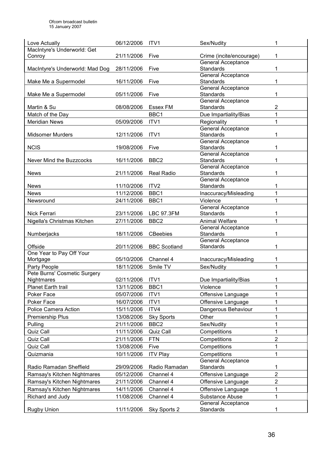| Love Actually                                | 06/12/2006 | ITV1                | Sex/Nudity                                    | 1              |
|----------------------------------------------|------------|---------------------|-----------------------------------------------|----------------|
| MacIntyre's Underworld: Get                  |            |                     |                                               |                |
| Conroy                                       | 21/11/2006 | Five                | Crime (incite/encourage)                      | 1              |
|                                              |            |                     | <b>General Acceptance</b>                     |                |
| MacIntyre's Underworld: Mad Dog              | 28/11/2006 | Five                | <b>Standards</b>                              | 1              |
| Make Me a Supermodel                         | 16/11/2006 | Five                | General Acceptance<br><b>Standards</b>        | 1              |
|                                              |            |                     | <b>General Acceptance</b>                     |                |
| Make Me a Supermodel                         | 05/11/2006 | Five                | <b>Standards</b>                              | 1              |
|                                              |            |                     | <b>General Acceptance</b>                     |                |
| Martin & Su                                  | 08/08/2006 | <b>Essex FM</b>     | <b>Standards</b>                              | 2              |
| Match of the Day                             |            | BBC1                | Due Impartiality/Bias                         | 1              |
| <b>Meridian News</b>                         | 05/09/2006 | ITV1                | Regionality                                   | 1              |
|                                              |            |                     | General Acceptance                            |                |
| <b>Midsomer Murders</b>                      | 12/11/2006 | ITV1                | <b>Standards</b>                              | 1              |
|                                              |            |                     | General Acceptance                            |                |
| <b>NCIS</b>                                  | 19/08/2006 | Five                | <b>Standards</b>                              | 1              |
|                                              |            |                     | General Acceptance                            |                |
| Never Mind the Buzzcocks                     | 16/11/2006 | BBC <sub>2</sub>    | <b>Standards</b><br>General Acceptance        | 1              |
| <b>News</b>                                  | 21/11/2006 | <b>Real Radio</b>   | <b>Standards</b>                              | 1              |
|                                              |            |                     | General Acceptance                            |                |
| <b>News</b>                                  | 11/10/2006 | ITV <sub>2</sub>    | <b>Standards</b>                              | 1              |
| <b>News</b>                                  | 11/12/2006 | BBC1                | Inaccuracy/Misleading                         | 1              |
| Newsround                                    | 24/11/2006 | BBC1                | Violence                                      | 1              |
|                                              |            |                     | <b>General Acceptance</b>                     |                |
| <b>Nick Ferrari</b>                          | 23/11/2006 | <b>LBC 97.3FM</b>   | <b>Standards</b>                              | 1              |
| Nigella's Christmas Kitchen                  | 27/11/2006 | BBC <sub>2</sub>    | <b>Animal Welfare</b>                         | 1              |
|                                              |            |                     | <b>General Acceptance</b>                     |                |
| Numberjacks                                  | 18/11/2006 | <b>CBeebies</b>     | <b>Standards</b>                              | 1              |
|                                              |            |                     | General Acceptance                            |                |
| Offside                                      | 20/11/2006 | <b>BBC Scotland</b> | Standards                                     | 1              |
| One Year to Pay Off Your<br>Mortgage         | 05/10/2006 | Channel 4           | Inaccuracy/Misleading                         | 1              |
|                                              |            | Smile TV            |                                               | 1              |
| Party People<br>Pete Burns' Cosmetic Surgery | 18/11/2006 |                     | Sex/Nudity                                    |                |
| Nightmares                                   | 02/11/2006 | ITV1                | Due Impartiality/Bias                         | 1              |
| Planet Earth trail                           | 13/11/2006 | BBC1                | Violence                                      | 1              |
| Poker Face                                   | 05/07/2006 | ITV1                | Offensive Language                            | 1              |
| Poker Face                                   | 16/07/2006 | ITV1                | Offensive Language                            | 1              |
| <b>Police Camera Action</b>                  | 15/11/2006 | ITV4                | Dangerous Behaviour                           | 1              |
| Premiership Plus                             | 13/08/2006 |                     | Other                                         | 1              |
|                                              |            | <b>Sky Sports</b>   |                                               |                |
| Pulling                                      | 21/11/2006 | BBC <sub>2</sub>    | Sex/Nudity                                    | 1              |
| Quiz Call                                    | 11/11/2006 | <b>Quiz Call</b>    | Competitions                                  | 1              |
| Quiz Call                                    | 21/11/2006 | <b>FTN</b>          | Competitions                                  | $\overline{2}$ |
| Quiz Call                                    | 13/08/2006 | Five                | Competitions                                  | 1              |
| Quizmania                                    | 10/11/2006 | <b>ITV Play</b>     | Competitions                                  | 1              |
| Radio Ramadan Sheffield                      | 29/09/2006 | Radio Ramadan       | <b>General Acceptance</b><br><b>Standards</b> | 1              |
| Ramsay's Kitchen Nightmares                  | 05/12/2006 | Channel 4           | Offensive Language                            | $\overline{2}$ |
| Ramsay's Kitchen Nightmares                  | 21/11/2006 | Channel 4           | Offensive Language                            | $\overline{2}$ |
| Ramsay's Kitchen Nightmares                  | 14/11/2006 | Channel 4           | Offensive Language                            | 1              |
| Richard and Judy                             | 11/08/2006 | Channel 4           | Substance Abuse                               | 1              |
|                                              |            |                     | General Acceptance                            |                |
| Rugby Union                                  | 11/11/2006 | Sky Sports 2        | Standards                                     |                |
|                                              |            |                     |                                               |                |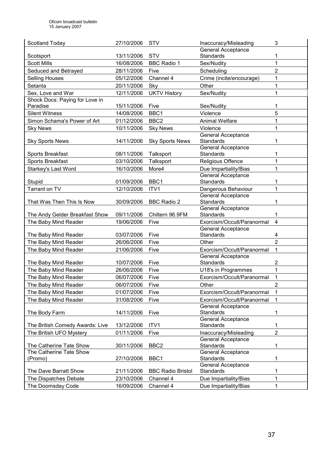| Scotland Today                  | 27/10/2006 | <b>STV</b>               | Inaccuracy/Misleading                             | 3                       |
|---------------------------------|------------|--------------------------|---------------------------------------------------|-------------------------|
|                                 |            |                          | <b>General Acceptance</b>                         |                         |
| Scotsport                       | 13/11/2006 | <b>STV</b>               | <b>Standards</b>                                  | 1                       |
| <b>Scott Mills</b>              | 16/08/2006 | <b>BBC Radio 1</b>       | Sex/Nudity                                        | 1                       |
| Seduced and Betrayed            | 28/11/2006 | Five                     | Scheduling                                        | $\overline{2}$          |
| <b>Selling Houses</b>           | 05/12/2006 | Channel 4                | Crime (incite/encourage)                          | 1                       |
| Setanta                         | 20/11/2006 | Sky                      | Other                                             | 1                       |
| Sex, Love and War               | 12/11/2006 | <b>UKTV History</b>      | Sex/Nudity                                        | 1                       |
| Shock Docs: Paying for Love in  |            |                          |                                                   |                         |
| Paradise                        | 15/11/2006 | Five                     | Sex/Nudity                                        | 1                       |
| <b>Silent Witness</b>           | 14/08/2006 | BBC1                     | Violence                                          | 5                       |
| Simon Schama's Power of Art     | 01/12/2006 | BBC <sub>2</sub>         | <b>Animal Welfare</b>                             | $\mathbf{1}$            |
| <b>Sky News</b>                 | 10/11/2006 | <b>Sky News</b>          | Violence                                          | 1                       |
|                                 |            |                          | <b>General Acceptance</b>                         |                         |
| <b>Sky Sports News</b>          | 14/11/2006 | <b>Sky Sports News</b>   | <b>Standards</b>                                  | 1                       |
| Sports Breakfast                | 08/11/2006 | Talksport                | General Acceptance<br><b>Standards</b>            | 1                       |
| <b>Sports Breakfast</b>         | 03/10/2006 | Talksport                | Religious Offence                                 | 1                       |
| Starkey's Last Word             | 16/10/2006 | More4                    | Due Impartiality/Bias                             | 1                       |
|                                 |            |                          | <b>General Acceptance</b>                         |                         |
| Stupid                          | 01/09/2006 | BBC1                     | <b>Standards</b>                                  | 1                       |
| Tarrant on TV                   | 12/10/2006 | ITV1                     | Dangerous Behaviour                               | 1                       |
|                                 |            |                          | General Acceptance                                |                         |
| That Was Then This Is Now       | 30/09/2006 | <b>BBC Radio 2</b>       | <b>Standards</b>                                  | 1                       |
|                                 |            |                          | General Acceptance                                |                         |
| The Andy Gelder Breakfast Show  | 09/11/2006 | Chiltern 96.9FM          | Standards                                         | 1                       |
| The Baby Mind Reader            | 19/06/2006 | Five                     | Exorcism/Occult/Paranormal                        | $\overline{\mathbf{4}}$ |
|                                 |            |                          | General Acceptance                                |                         |
| The Baby Mind Reader            | 03/07/2006 | Five                     | Standards                                         | 4                       |
| The Baby Mind Reader            | 26/06/2006 | Five                     | Other                                             | $\overline{2}$          |
| The Baby Mind Reader            | 21/06/2006 | Five                     | Exorcism/Occult/Paranormal                        | 1                       |
| The Baby Mind Reader            | 10/07/2006 | Five                     | General Acceptance<br>Standards                   | 2                       |
| The Baby Mind Reader            | 26/06/2006 | Five                     |                                                   | 1                       |
| The Baby Mind Reader            |            |                          | U18's in Programmes<br>Exorcism/Occult/Paranormal | 1                       |
|                                 | 06/07/2006 | Five                     |                                                   |                         |
| The Baby Mind Reader            | 06/07/2006 | Five                     | Other                                             | 2                       |
| The Baby Mind Reader            | 01/07/2006 | Five                     | Exorcism/Occult/Paranormal                        | 1                       |
| The Baby Mind Reader            | 31/08/2006 | Five                     | Exorcism/Occult/Paranormal                        | 1                       |
| The Body Farm                   | 14/11/2006 | Five                     | <b>General Acceptance</b><br>Standards            | 1                       |
|                                 |            |                          | General Acceptance                                |                         |
| The British Comedy Awards: Live | 13/12/2006 | ITV <sub>1</sub>         | <b>Standards</b>                                  | 1                       |
| The British UFO Mystery         | 01/11/2006 | Five                     | Inaccuracy/Misleading                             | $\overline{2}$          |
|                                 |            |                          | <b>General Acceptance</b>                         |                         |
| The Catherine Tate Show         | 30/11/2006 | BBC <sub>2</sub>         | Standards                                         | 1                       |
| The Catherine Tate Show         |            |                          | <b>General Acceptance</b>                         |                         |
| (Promo)                         | 27/10/2006 | BBC1                     | <b>Standards</b>                                  | 1                       |
|                                 |            |                          | <b>General Acceptance</b>                         |                         |
| The Dave Barratt Show           | 21/11/2006 | <b>BBC Radio Bristol</b> | Standards                                         | 1                       |
| The Dispatches Debate           | 23/10/2006 | Channel 4                | Due Impartiality/Bias                             | 1                       |
| The Doomsday Code               | 16/09/2006 | Channel 4                | Due Impartiality/Bias                             | 1                       |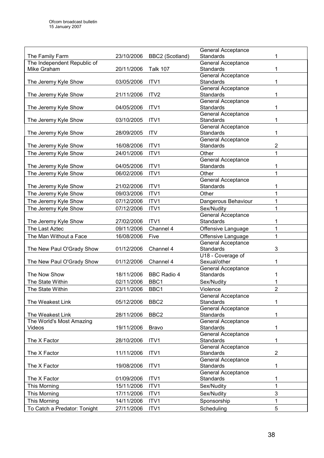|                              |            |                    | <b>General Acceptance</b>                     |                |
|------------------------------|------------|--------------------|-----------------------------------------------|----------------|
| The Family Farm              | 23/10/2006 | BBC2 (Scotland)    | <b>Standards</b>                              | 1              |
| The Independent Republic of  |            |                    | <b>General Acceptance</b>                     |                |
| Mike Graham                  | 20/11/2006 | <b>Talk 107</b>    | <b>Standards</b>                              | 1              |
|                              |            |                    | General Acceptance                            |                |
| The Jeremy Kyle Show         | 03/05/2006 | ITV1               | Standards                                     | 1              |
|                              |            |                    | General Acceptance                            |                |
| The Jeremy Kyle Show         | 21/11/2006 | ITV <sub>2</sub>   | <b>Standards</b>                              | 1              |
|                              |            |                    | General Acceptance                            |                |
| The Jeremy Kyle Show         | 04/05/2006 | ITV1               | <b>Standards</b>                              | 1              |
|                              |            |                    | General Acceptance                            |                |
| The Jeremy Kyle Show         | 03/10/2005 | ITV1               | <b>Standards</b>                              | 1              |
|                              |            |                    | General Acceptance                            |                |
| The Jeremy Kyle Show         | 28/09/2005 | <b>ITV</b>         | Standards                                     | 1              |
|                              |            |                    | General Acceptance                            |                |
| The Jeremy Kyle Show         | 16/08/2006 | ITV1               | Standards                                     | $\overline{2}$ |
| The Jeremy Kyle Show         | 24/01/2006 | ITV1               | Other                                         | 1              |
|                              |            |                    | General Acceptance                            |                |
| The Jeremy Kyle Show         | 04/05/2006 | ITV1               | <b>Standards</b>                              | 1              |
| The Jeremy Kyle Show         | 06/02/2006 | ITV1               | Other                                         | $\mathbf{1}$   |
|                              |            |                    | <b>General Acceptance</b>                     |                |
| The Jeremy Kyle Show         | 21/02/2006 | ITV1               | Standards                                     | 1              |
| The Jeremy Kyle Show         | 09/03/2006 | ITV1               | Other                                         | 1              |
|                              | 07/12/2006 | ITV1               | Dangerous Behaviour                           | 1              |
| The Jeremy Kyle Show         |            |                    |                                               |                |
| The Jeremy Kyle Show         | 07/12/2006 | ITV1               | Sex/Nudity                                    | 1              |
|                              |            |                    | General Acceptance                            |                |
| The Jeremy Kyle Show         | 27/02/2006 | ITV1               | <b>Standards</b>                              | 1              |
| The Last Aztec               | 09/11/2006 | Channel 4          | Offensive Language                            | $\mathbf 1$    |
| The Man Without a Face       | 16/08/2006 | Five               | Offensive Language                            | 1              |
|                              |            |                    | General Acceptance                            |                |
| The New Paul O'Grady Show    | 01/12/2006 | Channel 4          | Standards                                     | 3              |
|                              |            |                    | U18 - Coverage of                             |                |
| The New Paul O'Grady Show    | 01/12/2006 | Channel 4          | Sexual/other                                  | 1              |
| The Now Show                 | 18/11/2006 | <b>BBC Radio 4</b> | <b>General Acceptance</b><br><b>Standards</b> | 1              |
|                              |            |                    |                                               |                |
| The State Within             | 02/11/2006 | BBC1               | Sex/Nudity                                    |                |
| The State Within             | 23/11/2006 | BBC1               | Violence                                      | $\overline{2}$ |
|                              |            |                    | <b>General Acceptance</b>                     |                |
| The Weakest Link             | 05/12/2006 | BBC <sub>2</sub>   | Standards                                     | 1              |
|                              |            |                    | <b>General Acceptance</b>                     |                |
| The Weakest Link             | 28/11/2006 | BBC <sub>2</sub>   | <b>Standards</b>                              | 1              |
| The World's Most Amazing     |            |                    | <b>General Acceptance</b>                     |                |
| Videos                       | 19/11/2006 | <b>Bravo</b>       | <b>Standards</b>                              | 1              |
|                              |            |                    | <b>General Acceptance</b><br>Standards        | 1              |
| The X Factor                 | 28/10/2006 | ITV1               | <b>General Acceptance</b>                     |                |
| The X Factor                 | 11/11/2006 | ITV1               | Standards                                     | $\overline{2}$ |
|                              |            |                    | <b>General Acceptance</b>                     |                |
| The X Factor                 | 19/08/2006 | ITV1               | <b>Standards</b>                              | 1              |
|                              |            |                    | <b>General Acceptance</b>                     |                |
| The X Factor                 | 01/09/2006 | ITV1               | Standards                                     | 1              |
| This Morning                 | 15/11/2006 | ITV1               | Sex/Nudity                                    | 1              |
|                              |            |                    |                                               | 3              |
| This Morning                 | 17/11/2006 | ITV1               | Sex/Nudity                                    |                |
| This Morning                 | 14/11/2006 | ITV1               | Sponsorship                                   | 1              |
| To Catch a Predator: Tonight | 27/11/2006 | ITV1               | Scheduling                                    | 5              |